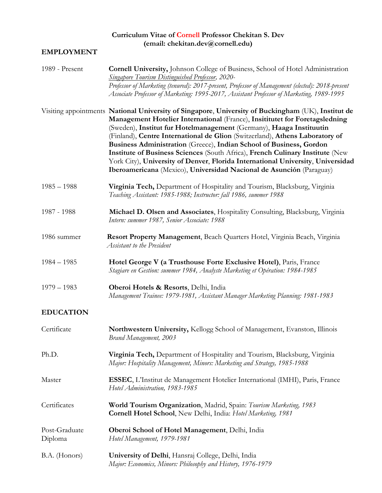## **Curriculum Vitae of Cornell Professor Chekitan S. Dev [\(email: chekitan.dev@cornell.edu\)](mailto:chekitan.dev@cornell.edu)**

## **EMPLOYMENT**

| 1989 - Present           | <b>Cornell University, Johnson College of Business, School of Hotel Administration</b><br><b>Singapore Tourism Distinguished Professor, 2020-</b><br>Professor of Marketing (tenured): 2017-present, Professor of Management (elected): 2018-present<br>Associate Professor of Marketing: 1995-2017, Assistant Professor of Marketing, 1989-1995                                                                                                                                                                                                                                                                                                            |
|--------------------------|-------------------------------------------------------------------------------------------------------------------------------------------------------------------------------------------------------------------------------------------------------------------------------------------------------------------------------------------------------------------------------------------------------------------------------------------------------------------------------------------------------------------------------------------------------------------------------------------------------------------------------------------------------------|
|                          | Visiting appointments National University of Singapore, University of Buckingham (UK), Institut de<br>Management Hotelier International (France), Insititutet for Foretagsledning<br>(Sweden), Institut fur Hotelmanagement (Germany), Haaga Instituutin<br>(Finland), Centre International de Glion (Switzerland), Athens Laboratory of<br>Business Administration (Greece), Indian School of Business, Gordon<br>Institute of Business Sciences (South Africa), French Culinary Institute (New<br>York City), University of Denver, Florida International University, Universidad<br>Iberoamericana (Mexico), Universidad Nacional de Asunción (Paraguay) |
| $1985 - 1988$            | Virginia Tech, Department of Hospitality and Tourism, Blacksburg, Virginia<br>Teaching Assistant: 1985-1988; Instructor: fall 1986, summer 1988                                                                                                                                                                                                                                                                                                                                                                                                                                                                                                             |
| 1987 - 1988              | Michael D. Olsen and Associates, Hospitality Consulting, Blacksburg, Virginia<br>Intern: summer 1987, Senior Associate: 1988                                                                                                                                                                                                                                                                                                                                                                                                                                                                                                                                |
| 1986 summer              | Resort Property Management, Beach Quarters Hotel, Virginia Beach, Virginia<br>Assistant to the President                                                                                                                                                                                                                                                                                                                                                                                                                                                                                                                                                    |
| $1984 - 1985$            | Hotel George V (a Trusthouse Forte Exclusive Hotel), Paris, France<br>Stagiare en Gestion: summer 1984, Analyste Marketing et Opération: 1984-1985                                                                                                                                                                                                                                                                                                                                                                                                                                                                                                          |
| $1979 - 1983$            | Oberoi Hotels & Resorts, Delhi, India<br>Management Trainee: 1979-1981, Assistant Manager Marketing Planning: 1981-1983                                                                                                                                                                                                                                                                                                                                                                                                                                                                                                                                     |
| <b>EDUCATION</b>         |                                                                                                                                                                                                                                                                                                                                                                                                                                                                                                                                                                                                                                                             |
| Certificate              | Northwestern University, Kellogg School of Management, Evanston, Illinois<br>Brand Management, 2003                                                                                                                                                                                                                                                                                                                                                                                                                                                                                                                                                         |
| Ph.D.                    | Virginia Tech, Department of Hospitality and Tourism, Blacksburg, Virginia<br>Major: Hospitality Management, Minors: Marketing and Strategy, 1985-1988                                                                                                                                                                                                                                                                                                                                                                                                                                                                                                      |
| Master                   | ESSEC, L'Institut de Management Hotelier International (IMHI), Paris, France<br>Hotel Administration, 1983-1985                                                                                                                                                                                                                                                                                                                                                                                                                                                                                                                                             |
| Certificates             | World Tourism Organization, Madrid, Spain: Tourism Marketing, 1983<br>Cornell Hotel School, New Delhi, India: Hotel Marketing, 1981                                                                                                                                                                                                                                                                                                                                                                                                                                                                                                                         |
| Post-Graduate<br>Diploma | Oberoi School of Hotel Management, Delhi, India<br>Hotel Management, 1979-1981                                                                                                                                                                                                                                                                                                                                                                                                                                                                                                                                                                              |
| B.A. (Honors)            | University of Delhi, Hansraj College, Delhi, India<br>Major: Economics, Minors: Philosophy and History, 1976-1979                                                                                                                                                                                                                                                                                                                                                                                                                                                                                                                                           |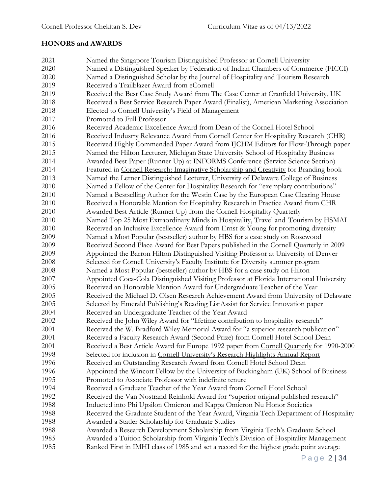# **HONORS and AWARDS**

| 2021 | Named the Singapore Tourism Distinguished Professor at Cornell University                |
|------|------------------------------------------------------------------------------------------|
| 2020 | Named a Distinguished Speaker by Federation of Indian Chambers of Commerce (FICCI)       |
| 2020 | Named a Distinguished Scholar by the Journal of Hospitality and Tourism Research         |
| 2019 | Received a Trailblazer Award from eCornell                                               |
| 2019 | Received the Best Case Study Award from The Case Center at Cranfield University, UK      |
| 2018 | Received a Best Service Research Paper Award (Finalist), American Marketing Association  |
| 2018 | Elected to Cornell University's Field of Management                                      |
| 2017 | Promoted to Full Professor                                                               |
| 2016 | Received Academic Excellence Award from Dean of the Cornell Hotel School                 |
| 2016 | Received Industry Relevance Award from Cornell Center for Hospitality Research (CHR)     |
| 2015 | Received Highly Commended Paper Award from IJCHM Editors for Flow-Through paper          |
| 2015 | Named the Hilton Lecturer, Michigan State University School of Hospitality Business      |
| 2014 | Awarded Best Paper (Runner Up) at INFORMS Conference (Service Science Section)           |
| 2014 | Featured in Cornell Research: Imaginative Scholarship and Creativity for Branding book   |
| 2013 | Named the Lerner Distinguished Lecturer, University of Delaware College of Business      |
| 2010 | Named a Fellow of the Center for Hospitality Research for "exemplary contributions"      |
| 2010 | Named a Bestselling Author for the Westin Case by the European Case Clearing House       |
| 2010 | Received a Honorable Mention for Hospitality Research in Practice Award from CHR         |
| 2010 | Awarded Best Article (Runner Up) from the Cornell Hospitality Quarterly                  |
| 2010 | Named Top 25 Most Extraordinary Minds in Hospitality, Travel and Tourism by HSMAI        |
| 2010 | Received an Inclusive Excellence Award from Ernst & Young for promoting diversity        |
| 2009 | Named a Most Popular (bestseller) author by HBS for a case study on Rosewood             |
| 2009 | Received Second Place Award for Best Papers published in the Cornell Quarterly in 2009   |
| 2009 | Appointed the Barron Hilton Distinguished Visiting Professor at University of Denver     |
| 2008 | Selected for Cornell University's Faculty Institute for Diversity summer program         |
| 2008 | Named a Most Popular (bestseller) author by HBS for a case study on Hilton               |
| 2007 | Appointed Coca-Cola Distinguished Visiting Professor at Florida International University |
| 2005 | Received an Honorable Mention Award for Undergraduate Teacher of the Year                |
| 2005 | Received the Michael D. Olsen Research Achievement Award from University of Delaware     |
| 2005 | Selected by Emerald Publishing's Reading ListAssist for Service Innovation paper         |
| 2004 | Received an Undergraduate Teacher of the Year Award                                      |
| 2002 | Received the John Wiley Award for "lifetime contribution to hospitality research"        |
| 2001 | Received the W. Bradford Wiley Memorial Award for "a superior research publication"      |
| 2001 | Received a Faculty Research Award (Second Prize) from Cornell Hotel School Dean          |
| 2001 | Received a Best Article Award for Europe 1992 paper from Cornell Quarterly for 1990-2000 |
| 1998 | Selected for inclusion in Cornell University's Research Highlights Annual Report         |
| 1996 | Received an Outstanding Research Award from Cornell Hotel School Dean                    |
| 1996 | Appointed the Wincott Fellow by the University of Buckingham (UK) School of Business     |
| 1995 | Promoted to Associate Professor with indefinite tenure                                   |
| 1994 | Received a Graduate Teacher of the Year Award from Cornell Hotel School                  |
| 1992 | Received the Van Nostrand Reinhold Award for "superior original published research"      |
| 1988 | Inducted into Phi Upsilon Omicron and Kappa Omicron Nu Honor Societies                   |
| 1988 | Received the Graduate Student of the Year Award, Virginia Tech Department of Hospitality |
| 1988 | Awarded a Statler Scholarship for Graduate Studies                                       |
| 1988 | Awarded a Research Development Scholarship from Virginia Tech's Graduate School          |
| 1985 | Awarded a Tuition Scholarship from Virginia Tech's Division of Hospitality Management    |
| 1985 | Ranked First in IMHI class of 1985 and set a record for the highest grade point average  |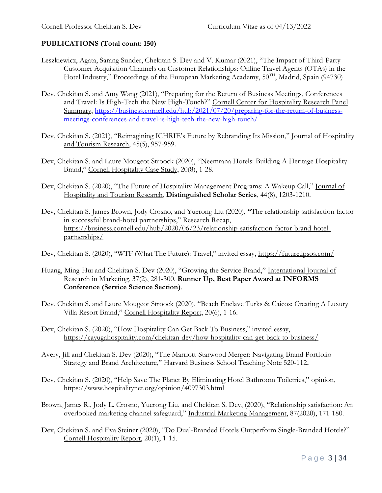#### **PUBLICATIONS (Total count: 150)**

- Leszkiewicz, Agata, Sarang Sunder, Chekitan S. Dev and V. Kumar (2021), "The Impact of Third-Party Customer Acquisition Channels on Customer Relationships: Online Travel Agents (OTAs) in the Hotel Industry," Proceedings of the European Marketing Academy, 50<sup>TH</sup>, Madrid, Spain (94730)
- Dev, Chekitan S. and Amy Wang (2021), "Preparing for the Return of Business Meetings, Conferences and Travel: Is High-Tech the New High-Touch?" Cornell Center for Hospitality Research Panel Summary, [https://business.cornell.edu/hub/2021/07/20/preparing-for-the-return-of-business](https://business.cornell.edu/hub/2021/07/20/preparing-for-the-return-of-business-meetings-conferences-and-travel-is-high-tech-the-new-high-touch/)[meetings-conferences-and-travel-is-high-tech-the-new-high-touch/](https://business.cornell.edu/hub/2021/07/20/preparing-for-the-return-of-business-meetings-conferences-and-travel-is-high-tech-the-new-high-touch/)
- Dev, Chekitan S. (2021), "Reimagining ICHRIE's Future by Rebranding Its Mission," Journal of Hospitality and Tourism Research, 45(5), 957-959.
- Dev, Chekitan S. and Laure Mougeot Stroock (2020), "Neemrana Hotels: Building A Heritage Hospitality Brand," Cornell Hospitality Case Study, 20(8), 1-28.
- Dev, Chekitan S. (2020), "The Future of Hospitality Management Programs: A Wakeup Call," Journal of Hospitality and Tourism Research, **Distinguished Scholar Series**, 44(8), 1203-1210.
- Dev, Chekitan S. James Brown, Jody Crosno, and Yuerong Liu (2020), **"**The relationship satisfaction factor in successful brand-hotel partnerships," Research Recap, [https://business.cornell.edu/hub/2020/06/23/relationship-satisfaction-factor-brand-hotel](https://business.cornell.edu/hub/2020/06/23/relationship-satisfaction-factor-brand-hotel-partnerships/)[partnerships/](https://business.cornell.edu/hub/2020/06/23/relationship-satisfaction-factor-brand-hotel-partnerships/)
- Dev, Chekitan S. (2020), "WTF (What The Future): Travel," invited essay, <https://future.ipsos.com/>
- Huang, Ming-Hui and Chekitan S. Dev (2020), "Growing the Service Brand," International Journal of Research in Marketing, 37(2), 281-300. **Runner Up, Best Paper Award at INFORMS Conference (Service Science Section)**.
- Dev, Chekitan S. and Laure Mougeot Stroock (2020), "Beach Enclave Turks & Caicos: Creating A Luxury Villa Resort Brand," Cornell Hospitality Report, 20(6), 1-16.
- Dev, Chekitan S. (2020), "How Hospitality Can Get Back To Business," invited essay, <https://cayugahospitality.com/chekitan-dev/how-hospitality-can-get-back-to-business/>
- Avery, Jill and Chekitan S. Dev (2020), "The Marriott-Starwood Merger: Navigating Brand Portfolio Strategy and Brand Architecture," Harvard Business School Teaching Note 520-112**.**
- Dev, Chekitan S. (2020), "Help Save The Planet By Eliminating Hotel Bathroom Toiletries," opinion, <https://www.hospitalitynet.org/opinion/4097303.html>
- Brown, James R., Jody L. Crosno, Yuerong Liu, and Chekitan S. Dev, (2020), "[Relationship satisfaction: An](https://www.sciencedirect.com/science/article/pii/S001985011930375X)  [overlooked marketing channel safeguard](https://www.sciencedirect.com/science/article/pii/S001985011930375X)," Industrial Marketing Management, 87(2020), 171-180.
- Dev, Chekitan S. and Eva Steiner (2020), "Do Dual-Branded Hotels Outperform Single-Branded Hotels?" Cornell Hospitality Report, 20(1), 1-15.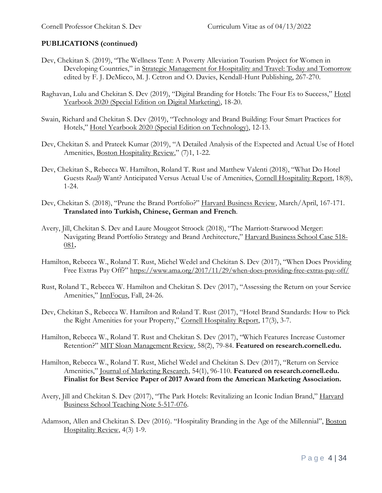- Dev, Chekitan S. (2019), "The Wellness Tent: A Poverty Alleviation Tourism Project for Women in Developing Countries," in Strategic Management for Hospitality and Travel: Today and Tomorrow edited by F. J. DeMicco, M. J. Cetron and O. Davies, Kendall-Hunt Publishing, 267-270.
- Raghavan, Lulu and Chekitan S. Dev (2019), "Digital Branding for Hotels: The Four Es to Success," Hotel Yearbook 2020 (Special Edition on Digital Marketing), 18-20.
- Swain, Richard and Chekitan S. Dev (2019), "Technology and Brand Building: Four Smart Practices for Hotels," Hotel Yearbook 2020 (Special Edition on Technology), 12-13.
- Dev, Chekitan S. and Prateek Kumar (2019), "A Detailed Analysis of the Expected and Actual Use of Hotel Amenities, Boston Hospitality Review," (7)1, 1-22.
- Dev, Chekitan S., Rebecca W. Hamilton, Roland T. Rust and Matthew Valenti (2018), "What Do Hotel Guests *Really* Want? Anticipated Versus Actual Use of Amenities, Cornell Hospitality Report, 18(8), 1-24.
- Dev, Chekitan S. (2018), "Prune the Brand Portfolio?" Harvard Business Review, March/April, 167-171. **Translated into Turkish, Chinese, German and French**.
- Avery, Jill, Chekitan S. Dev and Laure Mougeot Stroock (2018), "The Marriott-Starwood Merger: Navigating Brand Portfolio Strategy and Brand Architecture," Harvard Business School Case 518- 081**.**
- Hamilton, Rebecca W., Roland T. Rust, Michel Wedel and Chekitan S. Dev (2017), "When Does Providing Free Extras Pay Off?" <https://www.ama.org/2017/11/29/when-does-providing-free-extras-pay-off/>
- Rust, Roland T., Rebecca W. Hamilton and Chekitan S. Dev (2017), "Assessing the Return on your Service Amenities," InnFocus, Fall, 24-26.
- Dev, Chekitan S., Rebecca W. Hamilton and Roland T. Rust (2017), "Hotel Brand Standards: How to Pick the Right Amenities for your Property," Cornell Hospitality Report, 17(3), 3-7.
- Hamilton, Rebecca W., Roland T. Rust and Chekitan S. Dev (2017), "Which Features Increase Customer Retention?" MIT Sloan Management Review, 58(2), 79-84. **Featured on research.cornell.edu.**
- Hamilton, Rebecca W., Roland T. Rust, Michel Wedel and Chekitan S. Dev (2017), "Return on Service Amenities," Journal of Marketing Research, 54(1), 96-110. **Featured on research.cornell.edu. Finalist for Best Service Paper of 2017 Award from the American Marketing Association.**
- Avery, Jill and Chekitan S. Dev (2017), "The Park Hotels: Revitalizing an Iconic Indian Brand," Harvard Business School Teaching Note 5-517-076.
- Adamson, Allen and Chekitan S. Dev (2016). "Hospitality Branding in the Age of the Millennial", Boston Hospitality Review, 4(3) 1-9.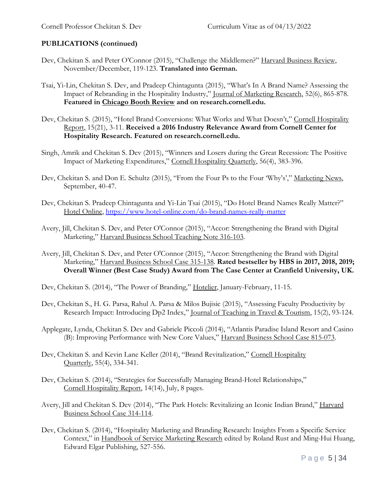- Dev, Chekitan S. and Peter O'Connor (2015), "Challenge the Middlemen?" Harvard Business Review, November/December, 119-123. **Translated into German.**
- Tsai, Yi-Lin, Chekitan S. Dev, and Pradeep Chintagunta (2015), "What's In A Brand Name? Assessing the Impact of Rebranding in the Hospitality Industry," Journal of Marketing Research, 52(6), 865-878. **Featured in Chicago Booth Review and on research.cornell.edu.**
- Dev, Chekitan S. (2015), "Hotel Brand Conversions: What Works and What Doesn't," Cornell Hospitality Report, 15(21), 3-11. **Received a 2016 Industry Relevance Award from Cornell Center for Hospitality Research. Featured on research.cornell.edu.**
- Singh, Amrik and Chekitan S. Dev (2015), "Winners and Losers during the Great Recession: The Positive Impact of Marketing Expenditures," Cornell Hospitality Quarterly, 56(4), 383-396.
- Dev, Chekitan S. and Don E. Schultz (2015), "From the Four Ps to the Four 'Why's'," Marketing News, September, 40-47.
- Dev, Chekitan S. Pradeep Chintagunta and Yi-Lin Tsai (2015), "Do Hotel Brand Names Really Matter?" Hotel Online,<https://www.hotel-online.com/do-brand-names-really-matter>
- Avery, Jill, Chekitan S. Dev, and Peter O'Connor (2015), "Accor: Strengthening the Brand with Digital Marketing," Harvard Business School Teaching Note 316-103.
- Avery, Jill, Chekitan S. Dev, and Peter O'Connor (2015), "Accor: Strengthening the Brand with Digital Marketing," Harvard Business School Case 315-138. **Rated bestseller by HBS in 2017, 2018, 2019; Overall Winner (Best Case Study) Award from The Case Center at Cranfield University, UK.**
- Dev, Chekitan S. (2014), "The Power of Branding," Hotelier, January-February, 11-15.
- Dev, Chekitan S., H. G. Parsa, Rahul A. Parsa & Milos Bujisic (2015), "Assessing Faculty Productivity by Research Impact: Introducing Dp2 Index," Journal of Teaching in Travel & Tourism, 15(2), 93-124.
- Applegate, Lynda, Chekitan S. Dev and Gabriele Piccoli (2014), "Atlantis Paradise Island Resort and Casino (B): Improving Performance with New Core Values," Harvard Business School Case 815-073.
- Dev, Chekitan S. and Kevin Lane Keller (2014), "Brand Revitalization," Cornell Hospitality Quarterly, 55(4), 334-341.
- Dev, Chekitan S. (2014), "Strategies for Successfully Managing Brand-Hotel Relationships," Cornell Hospitality Report, 14(14), July, 8 pages.
- Avery, Jill and Chekitan S. Dev (2014), "The Park Hotels: Revitalizing an Iconic Indian Brand," Harvard Business School Case 314-114.
- Dev, Chekitan S. (2014), "Hospitality Marketing and Branding Research: Insights From a Specific Service Context," in Handbook of Service Marketing Research edited by Roland Rust and Ming-Hui Huang, Edward Elgar Publishing, 527-556.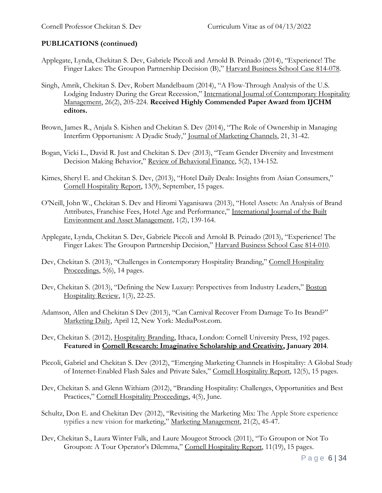- Applegate, Lynda, Chekitan S. Dev, Gabriele Piccoli and Arnold B. Peinado (2014), "Experience! The Finger Lakes: The Groupon Partnership Decision (B)," Harvard Business School Case 814-078.
- Singh, Amrik, Chekitan S. Dev, Robert Mandelbaum (2014), "A Flow-Through Analysis of the U.S. Lodging Industry During the Great Recession," International Journal of Contemporary Hospitality Management, 26(2), 205-224. **Received Highly Commended Paper Award from IJCHM editors.**
- Brown, James R., Anjala S. Kishen and Chekitan S. Dev (2014), "The Role of Ownership in Managing Interfirm Opportunism: A Dyadic Study," Journal of Marketing Channels, 21, 31-42.
- Bogan, Vicki L., David R. Just and Chekitan S. Dev (2013), "Team Gender Diversity and Investment Decision Making Behavior," Review of Behavioral Finance, 5(2), 134-152.
- Kimes, Sheryl E. and Chekitan S. Dev, (2013), "Hotel Daily Deals: Insights from Asian Consumers," Cornell Hospitality Report, 13(9), September, 15 pages.
- O'Neill, John W., Chekitan S. Dev and Hiromi Yaganisawa (2013), "Hotel Assets: An Analysis of Brand Attributes, Franchise Fees, Hotel Age and Performance," International Journal of the Built Environment and Asset Management, 1(2), 139-164.
- Applegate, Lynda, Chekitan S. Dev, Gabriele Piccoli and Arnold B. Peinado (2013), "Experience! The Finger Lakes: The Groupon Partnership Decision," Harvard Business School Case 814-010.
- Dev, Chekitan S. (2013), "Challenges in Contemporary Hospitality Branding," Cornell Hospitality Proceedings, 5(6), 14 pages.
- Dev, Chekitan S. (2013), "Defining the New Luxury: Perspectives from Industry Leaders," Boston Hospitality Review, 1(3), 22-25.
- Adamson, Allen and Chekitan S Dev (2013), "Can Carnival Recover From Damage To Its Brand?" Marketing Daily, April 12, New York: MediaPost.com.
- Dev, Chekitan S. (2012), Hospitality Branding, Ithaca, London: Cornell University Press, 192 pages. **Featured in Cornell Research: Imaginative Scholarship and Creativity, January 2014**.
- Piccoli, Gabriel and Chekitan S. Dev (2012), "Emerging Marketing Channels in Hospitality: A Global Study of Internet-Enabled Flash Sales and Private Sales," Cornell Hospitality Report, 12(5), 15 pages.
- Dev, Chekitan S. and Glenn Withiam (2012), "Branding Hospitality: Challenges, Opportunities and Best Practices," Cornell Hospitality Proceedings, 4(5), June.
- Schultz, Don E. and Chekitan Dev (2012), "Revisiting the Marketing Mix: The Apple Store experience typifies a new vision for marketing," Marketing Management, 21(2), 45-47.
- Dev, Chekitan S., Laura Winter Falk, and Laure Mougeot Stroock (2011), "To Groupon or Not To Groupon: A Tour Operator's Dilemma," Cornell Hospitality Report, 11(19), 15 pages.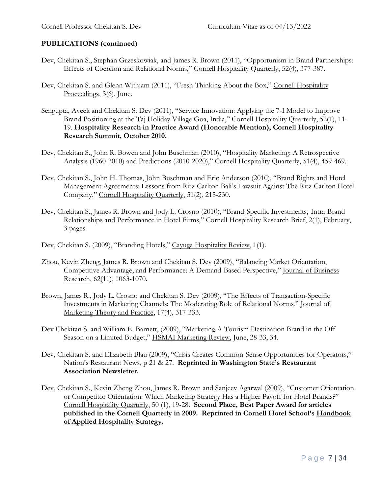- Dev, Chekitan S., Stephan Grzeskowiak, and James R. Brown (2011), "Opportunism in Brand Partnerships: Effects of Coercion and Relational Norms," Cornell Hospitality Quarterly, 52(4), 377-387.
- Dev, Chekitan S. and Glenn Withiam (2011), "Fresh Thinking About the Box," Cornell Hospitality Proceedings, 3(6), June.
- Sengupta, Aveek and Chekitan S. Dev (2011), "Service Innovation: Applying the 7-I Model to Improve Brand Positioning at the Taj Holiday Village Goa, India," Cornell Hospitality Quarterly, 52(1), 11-19. **Hospitality Research in Practice Award (Honorable Mention), Cornell Hospitality Research Summit, October 2010.**
- Dev, Chekitan S., John R. Bowen and John Buschman (2010), "Hospitality Marketing: A Retrospective Analysis (1960-2010) and Predictions (2010-2020)," Cornell Hospitality Quarterly, 51(4), 459-469.
- Dev, Chekitan S., John H. Thomas, John Buschman and Eric Anderson (2010), "Brand Rights and Hotel Management Agreements: Lessons from Ritz-Carlton Bali's Lawsuit Against The Ritz-Carlton Hotel Company," Cornell Hospitality Quarterly, 51(2), 215-230.
- Dev, Chekitan S., James R. Brown and Jody L. Crosno (2010), "Brand-Specific Investments, Intra-Brand Relationships and Performance in Hotel Firms," Cornell Hospitality Research Brief, 2(1), February, 3 pages.
- Dev, Chekitan S. (2009), "Branding Hotels," Cayuga Hospitality Review, 1(1).
- Zhou, Kevin Zheng, James R. Brown and Chekitan S. Dev (2009), "Balancing Market Orientation, Competitive Advantage, and Performance: A Demand-Based Perspective," Journal of Business Research, 62(11), 1063-1070.
- Brown, James R., Jody L. Crosno and Chekitan S. Dev (2009), "The Effects of Transaction-Specific Investments in Marketing Channels: The Moderating Role of Relational Norms," Journal of Marketing Theory and Practice, 17(4), 317-333.
- Dev Chekitan S. and William E. Barnett, (2009), "Marketing A Tourism Destination Brand in the Off Season on a Limited Budget," HSMAI Marketing Review, June, 28-33, 34.
- Dev, Chekitan S. and Elizabeth Blau (2009), "Crisis Creates Common-Sense Opportunities for Operators," Nation's Restaurant News, p 21 & 27. **Reprinted in Washington State's Restaurant Association Newsletter.**
- Dev, Chekitan S., Kevin Zheng Zhou, James R. Brown and Sanjeev Agarwal (2009), "Customer Orientation or Competitor Orientation: Which Marketing Strategy Has a Higher Payoff for Hotel Brands?" Cornell Hospitality Quarterly, 50 (1), 19-28. **Second Place, Best Paper Award for articles published in the Cornell Quarterly in 2009. Reprinted in Cornell Hotel School's Handbook of Applied Hospitality Strategy.**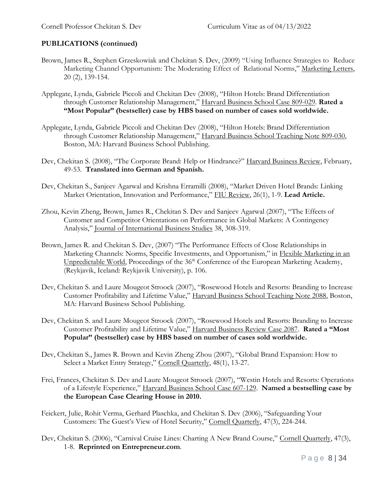- Brown, James R., Stephen Grzeskowiak and Chekitan S. Dev, (2009) "Using Influence Strategies to Reduce Marketing Channel Opportunism: The Moderating Effect of Relational Norms," Marketing Letters, 20 (2), 139-154.
- Applegate, Lynda, Gabriele Piccoli and Chekitan Dev (2008), "Hilton Hotels: Brand Differentiation through Customer Relationship Management," Harvard Business School Case 809-029. **Rated a "Most Popular" (bestseller) case by HBS based on number of cases sold worldwide.**
- Applegate, Lynda, Gabriele Piccoli and Chekitan Dev (2008), "Hilton Hotels: Brand Differentiation through Customer Relationship Management," Harvard Business School Teaching Note 809-030, Boston, MA: Harvard Business School Publishing.
- Dev, Chekitan S. (2008), "The Corporate Brand: Help or Hindrance?" Harvard Business Review, February, 49-53. **Translated into German and Spanish.**
- Dev, Chekitan S., Sanjeev Agarwal and Krishna Erramilli (2008), "Market Driven Hotel Brands: Linking Market Orientation, Innovation and Performance," FIU Review, 26(1), 1-9. **Lead Article.**
- Zhou, Kevin Zheng, Brown, James R., Chekitan S. Dev and Sanjeev Agarwal (2007), "The Effects of Customer and Competitor Orientations on Performance in Global Markets: A Contingency Analysis," Journal of International Business Studies 38, 308-319.
- Brown, James R. and Chekitan S. Dev, (2007) "The Performance Effects of Close Relationships in Marketing Channels: Norms, Specific Investments, and Opportunism," in Flexible Marketing in an Unpredictable World, Proceedings of the 36<sup>th</sup> Conference of the European Marketing Academy, (Reykjavik, Iceland: Reykjavik University), p. 106.
- Dev, Chekitan S. and Laure Mougeot Stroock (2007), "Rosewood Hotels and Resorts: Branding to Increase Customer Profitability and Lifetime Value," Harvard Business School Teaching Note 2088, Boston, MA: Harvard Business School Publishing.
- Dev, Chekitan S. and Laure Mougeot Stroock (2007), "Rosewood Hotels and Resorts: Branding to Increase Customer Profitability and Lifetime Value," Harvard Business Review Case 2087. **Rated a "Most Popular" (bestseller) case by HBS based on number of cases sold worldwide.**
- Dev, Chekitan S., James R. Brown and Kevin Zheng Zhou (2007), "Global Brand Expansion: How to Select a Market Entry Strategy," Cornell Quarterly, 48(1), 13-27.
- Frei, Frances, Chekitan S. Dev and Laure Mougeot Stroock (2007), "Westin Hotels and Resorts: Operations of a Lifestyle Experience," Harvard Business School Case 607-129. **Named a bestselling case by the European Case Clearing House in 2010.**
- Feickert, Julie, Rohit Verma, Gerhard Plaschka, and Chekitan S. Dev (2006), "Safeguarding Your Customers: The Guest's View of Hotel Security," Cornell Quarterly, 47(3), 224-244.
- Dev, Chekitan S. (2006), "Carnival Cruise Lines: Charting A New Brand Course," Cornell Quarterly, 47(3), 1-8. **Reprinted on Entrepreneur.com**.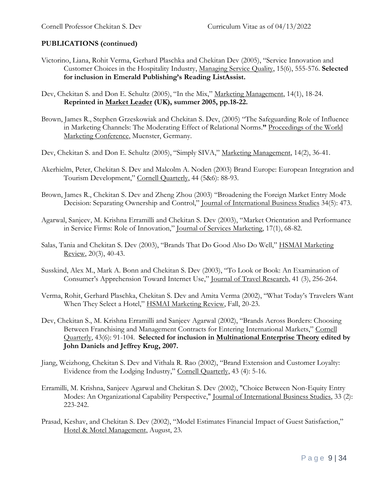- Victorino, Liana, Rohit Verma, Gerhard Plaschka and Chekitan Dev (2005), "Service Innovation and Customer Choices in the Hospitality Industry, Managing Service Quality, 15(6), 555-576. **Selected for inclusion in Emerald Publishing's Reading ListAssist.**
- Dev, Chekitan S. and Don E. Schultz (2005), "In the Mix," Marketing Management, 14(1), 18-24. **Reprinted in Market Leader (UK), summer 2005, pp.18-22.**
- Brown, James R., Stephen Grzeskowiak and Chekitan S. Dev, (2005) "The Safeguarding Role of Influence in Marketing Channels: The Moderating Effect of Relational Norms.**"** Proceedings of the World Marketing Conference, Muenster, Germany.
- Dev, Chekitan S. and Don E. Schultz (2005), "Simply SIVA," Marketing Management, 14(2), 36-41.
- Akerhielm, Peter, Chekitan S. Dev and Malcolm A. Noden (2003) Brand Europe: European Integration and Tourism Development," Cornell Quarterly, 44 (5&6): 88-93.
- Brown, James R., Chekitan S. Dev and Zheng Zhou (2003) "Broadening the Foreign Market Entry Mode Decision: Separating Ownership and Control," Journal of International Business Studies 34(5): 473.
- Agarwal, Sanjeev, M. Krishna Erramilli and Chekitan S. Dev (2003), "Market Orientation and Performance in Service Firms: Role of Innovation," Journal of Services Marketing, 17(1), 68-82.
- Salas, Tania and Chekitan S. Dev (2003), "Brands That Do Good Also Do Well," HSMAI Marketing Review, 20(3), 40-43.
- Susskind, Alex M., Mark A. Bonn and Chekitan S. Dev (2003), "To Look or Book: An Examination of Consumer's Apprehension Toward Internet Use," Journal of Travel Research, 41 (3), 256-264.
- Verma, Rohit, Gerhard Plaschka, Chekitan S. Dev and Amita Verma (2002), "What Today's Travelers Want When They Select a Hotel," HSMAI Marketing Review, Fall, 20-23.
- Dev, Chekitan S., M. Krishna Erramilli and Sanjeev Agarwal (2002), "Brands Across Borders: Choosing Between Franchising and Management Contracts for Entering International Markets," Cornell Quarterly, 43(6): 91-104. **Selected for inclusion in Multinational Enterprise Theory edited by John Daniels and Jeffrey Krug, 2007.**
- Jiang, Weizhong, Chekitan S. Dev and Vithala R. Rao (2002), "Brand Extension and Customer Loyalty: Evidence from the Lodging Industry," Cornell Quarterly, 43 (4): 5-16.
- Erramilli, M. Krishna, Sanjeev Agarwal and Chekitan S. Dev (2002), "Choice Between Non-Equity Entry Modes: An Organizational Capability Perspective," Journal of International Business Studies, 33 (2): 223-242.
- Prasad, Keshav, and Chekitan S. Dev (2002), "Model Estimates Financial Impact of Guest Satisfaction," Hotel & Motel Management, August, 23.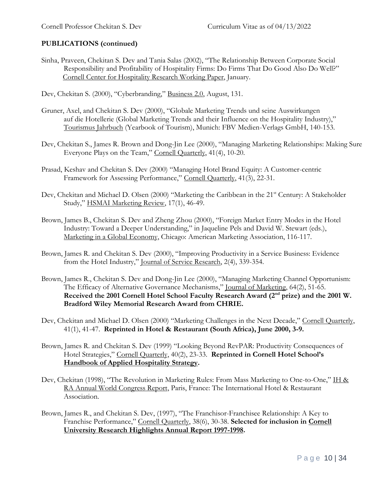- Sinha, Praveen, Chekitan S. Dev and Tania Salas (2002), "The Relationship Between Corporate Social Responsibility and Profitability of Hospitality Firms: Do Firms That Do Good Also Do Well?" Cornell Center for Hospitality Research Working Paper, January.
- Dev, Chekitan S. (2000), "Cyberbranding," Business 2.0, August, 131.
- Gruner, Axel, and Chekitan S. Dev (2000), "Globale Marketing Trends und seine Auswirkungen auf die Hotellerie (Global Marketing Trends and their Influence on the Hospitality Industry)," Tourismus Jahrbuch (Yearbook of Tourism), Munich: FBV Medien-Verlags GmbH, 140-153.
- Dev, Chekitan S., James R. Brown and Dong-Jin Lee (2000), "Managing Marketing Relationships: Making Sure Everyone Plays on the Team," Cornell Quarterly, 41(4), 10-20.
- Prasad, Keshav and Chekitan S. Dev (2000) "Managing Hotel Brand Equity: A Customer-centric Framework for Assessing Performance," Cornell Quarterly, 41(3), 22-31.
- Dev, Chekitan and Michael D. Olsen (2000) "Marketing the Caribbean in the 21<sup>st</sup> Century: A Stakeholder Study," HSMAI Marketing Review, 17(1), 46-49.
- Brown, James B., Chekitan S. Dev and Zheng Zhou (2000), "Foreign Market Entry Modes in the Hotel Industry: Toward a Deeper Understanding," in Jaqueline Pels and David W. Stewart (eds.), Marketing in a Global Economy, Chicago: American Marketing Association, 116-117.
- Brown, James R. and Chekitan S. Dev (2000), "Improving Productivity in a Service Business: Evidence from the Hotel Industry," Journal of Service Research, 2(4), 339-354.
- Brown, James R., Chekitan S. Dev and Dong-Jin Lee (2000), "Managing Marketing Channel Opportunism: The Efficacy of Alternative Governance Mechanisms," Journal of Marketing, 64(2), 51-65. Received the 2001 Cornell Hotel School Faculty Research Award (2<sup>nd</sup> prize) and the 2001 W. **Bradford Wiley Memorial Research Award from CHRIE.**
- Dev, Chekitan and Michael D. Olsen (2000) "Marketing Challenges in the Next Decade," Cornell Quarterly, 41(1), 41-47. **Reprinted in Hotel & Restaurant (South Africa), June 2000, 3-9.**
- Brown, James R. and Chekitan S. Dev (1999) "Looking Beyond RevPAR: Productivity Consequences of Hotel Strategies," Cornell Quarterly, 40(2), 23-33. **Reprinted in Cornell Hotel School's Handbook of Applied Hospitality Strategy.**
- Dev, Chekitan (1998), "The Revolution in Marketing Rules: From Mass Marketing to One-to-One," IH & RA Annual World Congress Report, Paris, France: The International Hotel & Restaurant Association.
- Brown, James R., and Chekitan S. Dev, (1997), "The Franchisor-Franchisee Relationship: A Key to Franchise Performance," Cornell Quarterly, 38(6), 30-38. **Selected for inclusion in Cornell University Research Highlights Annual Report 1997-1998.**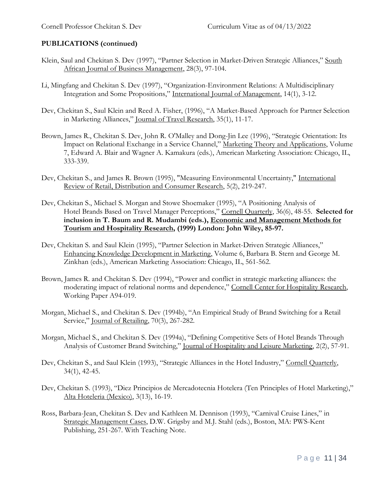- Klein, Saul and Chekitan S. Dev (1997), "Partner Selection in Market-Driven Strategic Alliances," South African Journal of Business Management, 28(3), 97-104.
- Li, Mingfang and Chekitan S. Dev (1997), "Organization-Environment Relations: A Multidisciplinary Integration and Some Propositions," International Journal of Management, 14(1), 3-12.
- Dev, Chekitan S., Saul Klein and Reed A. Fisher, (1996), "A Market-Based Approach for Partner Selection in Marketing Alliances," Journal of Travel Research, 35(1), 11-17.
- Brown, James R., Chekitan S. Dev, John R. O'Malley and Dong-Jin Lee (1996), "Strategic Orientation: Its Impact on Relational Exchange in a Service Channel," Marketing Theory and Applications, Volume 7, Edward A. Blair and Wagner A. Kamakura (eds.), American Marketing Association: Chicago, IL, 333-339.
- Dev, Chekitan S., and James R. Brown (1995), "Measuring Environmental Uncertainty," International Review of Retail, Distribution and Consumer Research, 5(2), 219-247.
- Dev, Chekitan S., Michael S. Morgan and Stowe Shoemaker (1995), "A Positioning Analysis of Hotel Brands Based on Travel Manager Perceptions," Cornell Quarterly, 36(6), 48-55. **Selected for inclusion in T. Baum and R. Mudambi (eds.), Economic and Management Methods for Tourism and Hospitality Research, (1999) London: John Wiley, 85-97.**
- Dev, Chekitan S. and Saul Klein (1995), "Partner Selection in Market-Driven Strategic Alliances," Enhancing Knowledge Development in Marketing, Volume 6, Barbara B. Stern and George M. Zinkhan (eds.), American Marketing Association: Chicago, IL, 561-562.
- Brown, James R. and Chekitan S. Dev (1994), "Power and conflict in strategic marketing alliances: the moderating impact of relational norms and dependence," Cornell Center for Hospitality Research, Working Paper A94-019.
- Morgan, Michael S., and Chekitan S. Dev (1994b), "An Empirical Study of Brand Switching for a Retail Service," Journal of Retailing, 70(3), 267-282.
- Morgan, Michael S., and Chekitan S. Dev (1994a), "Defining Competitive Sets of Hotel Brands Through Analysis of Customer Brand Switching," Journal of Hospitality and Leisure Marketing, 2(2), 57-91.
- Dev, Chekitan S., and Saul Klein (1993), "Strategic Alliances in the Hotel Industry," Cornell Quarterly, 34(1), 42-45.
- Dev, Chekitan S. (1993), "Diez Principios de Mercadotecnia Hotelera (Ten Principles of Hotel Marketing)," Alta Hoteleria (Mexico), 3(13), 16-19.
- Ross, Barbara-Jean, Chekitan S. Dev and Kathleen M. Dennison (1993), "Carnival Cruise Lines," in Strategic Management Cases, D.W. Grigsby and M.J. Stahl (eds.), Boston, MA: PWS-Kent Publishing, 251-267. With Teaching Note.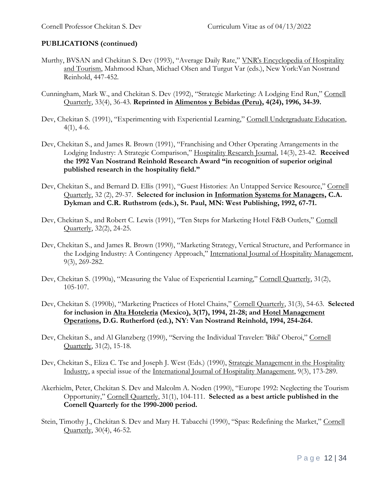- Murthy, BVSAN and Chekitan S. Dev (1993), "Average Daily Rate," VNR's Encyclopedia of Hospitality and Tourism, Mahmood Khan, Michael Olsen and Turgut Var (eds.), New York:Van Nostrand Reinhold, 447-452.
- Cunningham, Mark W., and Chekitan S. Dev (1992), "Strategic Marketing: A Lodging End Run," Cornell Quarterly, 33(4), 36-43. **Reprinted in Alimentos y Bebidas (Peru), 4(24), 1996, 34-39.**
- Dev, Chekitan S. (1991), "Experimenting with Experiential Learning," Cornell Undergraduate Education,  $4(1)$ ,  $4-6$ .
- Dev, Chekitan S., and James R. Brown (1991), "Franchising and Other Operating Arrangements in the Lodging Industry: A Strategic Comparison," Hospitality Research Journal, 14(3), 23-42. **Received the 1992 Van Nostrand Reinhold Research Award "in recognition of superior original published research in the hospitality field."**
- Dev, Chekitan S., and Bernard D. Ellis (1991), "Guest Histories: An Untapped Service Resource," Cornell Quarterly, 32 (2), 29-37. **Selected for inclusion in Information Systems for Managers, C.A. Dykman and C.R. Ruthstrom (eds.), St. Paul, MN: West Publishing, 1992, 67-71.**
- Dev, Chekitan S., and Robert C. Lewis (1991), "Ten Steps for Marketing Hotel F&B Outlets," Cornell Quarterly, 32(2), 24-25.
- Dev, Chekitan S., and James R. Brown (1990), "Marketing Strategy, Vertical Structure, and Performance in the Lodging Industry: A Contingency Approach," International Journal of Hospitality Management, 9(3), 269-282.
- Dev, Chekitan S. (1990a), "Measuring the Value of Experiential Learning," Cornell Quarterly, 31(2), 105-107.
- Dev, Chekitan S. (1990b), "Marketing Practices of Hotel Chains," Cornell Quarterly, 31(3), 54-63. **Selected for inclusion in Alta Hoteleria (Mexico), 3(17), 1994, 21-28; and Hotel Management Operations, D.G. Rutherford (ed.), NY: Van Nostrand Reinhold, 1994, 254-264.**
- Dev, Chekitan S., and Al Glanzberg (1990), "Serving the Individual Traveler: 'Biki' Oberoi," Cornell Quarterly, 31(2), 15-18.
- Dev, Chekitan S., Eliza C. Tse and Joseph J. West (Eds.) (1990), Strategic Management in the Hospitality Industry, a special issue of the International Journal of Hospitality Management, 9(3), 173-289.
- Akerhielm, Peter, Chekitan S. Dev and Malcolm A. Noden (1990), "Europe 1992: Neglecting the Tourism Opportunity," Cornell Quarterly, 31(1), 104-111. **Selected as a best article published in the Cornell Quarterly for the 1990-2000 period.**
- Stein, Timothy J., Chekitan S. Dev and Mary H. Tabacchi (1990), "Spas: Redefining the Market," Cornell Quarterly, 30(4), 46-52.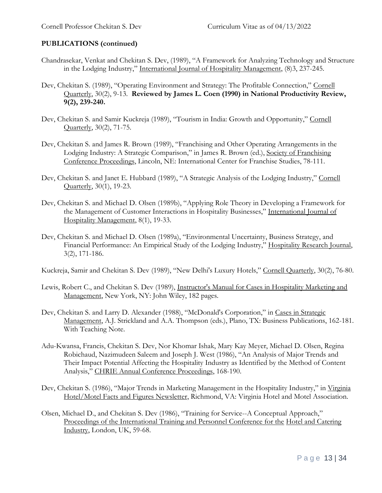- Chandrasekar, Venkat and Chekitan S. Dev, (1989), "A Framework for Analyzing Technology and Structure in the Lodging Industry," International Journal of Hospitality Management, (8)3, 237-245.
- Dev, Chekitan S. (1989), "Operating Environment and Strategy: The Profitable Connection," Cornell Quarterly, 30(2), 9-13. **Reviewed by James L. Coen (1990) in National Productivity Review, 9(2), 239-240.**
- Dev, Chekitan S. and Samir Kuckreja (1989), "Tourism in India: Growth and Opportunity," Cornell Quarterly, 30(2), 71-75.
- Dev, Chekitan S. and James R. Brown (1989), "Franchising and Other Operating Arrangements in the Lodging Industry: A Strategic Comparison," in James R. Brown (ed.), Society of Franchising Conference Proceedings, Lincoln, NE: International Center for Franchise Studies, 78-111.
- Dev, Chekitan S. and Janet E. Hubbard (1989), "A Strategic Analysis of the Lodging Industry," Cornell Quarterly, 30(1), 19-23.
- Dev, Chekitan S. and Michael D. Olsen (1989b), "Applying Role Theory in Developing a Framework for the Management of Customer Interactions in Hospitality Businesses," International Journal of Hospitality Management, 8(1), 19-33.
- Dev, Chekitan S. and Michael D. Olsen (1989a), "Environmental Uncertainty, Business Strategy, and Financial Performance: An Empirical Study of the Lodging Industry," Hospitality Research Journal, 3(2), 171-186.

Kuckreja, Samir and Chekitan S. Dev (1989), "New Delhi's Luxury Hotels," Cornell Quarterly, 30(2), 76-80.

- Lewis, Robert C., and Chekitan S. Dev (1989), Instructor's Manual for Cases in Hospitality Marketing and Management, New York, NY: John Wiley, 182 pages.
- Dev, Chekitan S. and Larry D. Alexander (1988), "McDonald's Corporation," in Cases in Strategic Management, A.J. Strickland and A.A. Thompson (eds.), Plano, TX: Business Publications, 162-181. With Teaching Note.
- Adu-Kwansa, Francis, Chekitan S. Dev, Nor Khomar Ishak, Mary Kay Meyer, Michael D. Olsen, Regina Robichaud, Nazimudeen Saleem and Joseph J. West (1986), "An Analysis of Major Trends and Their Impact Potential Affecting the Hospitality Industry as Identified by the Method of Content Analysis," CHRIE Annual Conference Proceedings, 168-190.
- Dev, Chekitan S. (1986), "Major Trends in Marketing Management in the Hospitality Industry," in Virginia Hotel/Motel Facts and Figures Newsletter, Richmond, VA: Virginia Hotel and Motel Association.
- Olsen, Michael D., and Chekitan S. Dev (1986), "Training for Service--A Conceptual Approach," Proceedings of the International Training and Personnel Conference for the Hotel and Catering Industry, London, UK, 59-68.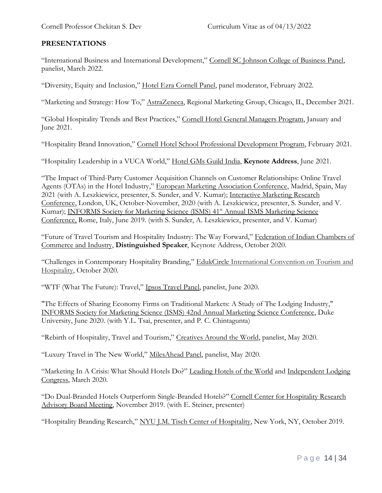### **PRESENTATIONS**

"International Business and International Development," Cornell SC Johnson College of Business Panel, panelist, March 2022.

"Diversity, Equity and Inclusion," Hotel Ezra Cornell Panel, panel moderator, February 2022.

"Marketing and Strategy: How To," AstraZeneca, Regional Marketing Group, Chicago, IL, December 2021.

"Global Hospitality Trends and Best Practices," Cornell Hotel General Managers Program, January and June 2021.

"Hospitality Brand Innovation," Cornell Hotel School Professional Development Program, February 2021.

"Hospitality Leadership in a VUCA World," Hotel GMs Guild India, **Keynote Address**, June 2021.

"The Impact of Third-Party Customer Acquisition Channels on Customer Relationships: Online Travel Agents (OTAs) in the Hotel Industry," European Marketing Association Conference, Madrid, Spain, May 2021 (with A. Leszkiewicz, presenter, S. Sunder, and V. Kumar); Interactive Marketing Research Conference, London, UK, October-November, 2020 (with A. Leszkiewicz, presenter, S. Sunder, and V. Kumar); INFORMS Society for Marketing Science (ISMS) 41<sup>st</sup> Annual ISMS Marketing Science Conference, Rome, Italy, June 2019. (with S. Sunder, A. Leszkiewicz, presenter, and V. Kumar)

"Future of Travel Tourism and Hospitality Industry: The Way Forward," Federation of Indian Chambers of Commerce and Industry, **Distinguished Speaker**, Keynote Address, October 2020.

"Challenges in Contemporary Hospitality Branding," EdukCircle International Convention on Tourism and Hospitality, October 2020.

"WTF (What The Future): Travel," Ipsos Travel Panel, panelist, June 2020.

"The Effects of Sharing Economy Firms on Traditional Markets: A Study of The Lodging Industry," INFORMS Society for Marketing Science (ISMS) 42nd Annual Marketing Science Conference, Duke University, June 2020. (with Y.L. Tsai, presenter, and P. C. Chintagunta)

"Rebirth of Hospitality, Travel and Tourism," Creatives Around the World, panelist, May 2020.

"Luxury Travel in The New World," MilesAhead Panel, panelist, May 2020.

"Marketing In A Crisis: What Should Hotels Do?" Leading Hotels of the World and Independent Lodging Congress, March 2020.

"Do Dual-Branded Hotels Outperform Single-Branded Hotels?" Cornell Center for Hospitality Research Advisory Board Meeting, November 2019. (with E. Steiner, presenter)

"Hospitality Branding Research," NYU J.M. Tisch Center of Hospitality, New York, NY, October 2019.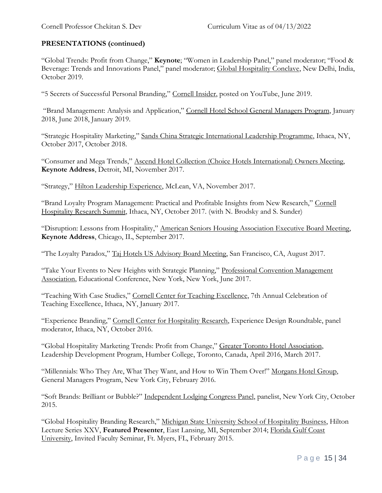"Global Trends: Profit from Change," **Keynote**; "Women in Leadership Panel," panel moderator; "Food & Beverage: Trends and Innovations Panel," panel moderator; Global Hospitality Conclave, New Delhi, India, October 2019.

"5 Secrets of Successful Personal Branding," Cornell Insider, posted on YouTube, June 2019.

"Brand Management: Analysis and Application," Cornell Hotel School General Managers Program, January 2018, June 2018, January 2019.

"Strategic Hospitality Marketing," Sands China Strategic International Leadership Programme, Ithaca, NY, October 2017, October 2018.

"Consumer and Mega Trends," Ascend Hotel Collection (Choice Hotels International) Owners Meeting, **Keynote Address**, Detroit, MI, November 2017.

"Strategy," Hilton Leadership Experience, McLean, VA, November 2017.

"Brand Loyalty Program Management: Practical and Profitable Insights from New Research," Cornell Hospitality Research Summit, Ithaca, NY, October 2017. (with N. Brodsky and S. Sunder)

"Disruption: Lessons from Hospitality," American Seniors Housing Association Executive Board Meeting, **Keynote Address**, Chicago, IL, September 2017.

"The Loyalty Paradox," Taj Hotels US Advisory Board Meeting, San Francisco, CA, August 2017.

"Take Your Events to New Heights with Strategic Planning," Professional Convention Management Association, Educational Conference, New York, New York, June 2017.

"Teaching With Case Studies," Cornell Center for Teaching Excellence, 7th Annual Celebration of Teaching Excellence, Ithaca, NY, January 2017.

"Experience Branding," Cornell Center for Hospitality Research, Experience Design Roundtable, panel moderator, Ithaca, NY, October 2016.

"Global Hospitality Marketing Trends: Profit from Change," Greater Toronto Hotel Association, Leadership Development Program, Humber College, Toronto, Canada, April 2016, March 2017.

"Millennials: Who They Are, What They Want, and How to Win Them Over!" Morgans Hotel Group, General Managers Program, New York City, February 2016.

"Soft Brands: Brilliant or Bubble?" Independent Lodging Congress Panel, panelist, New York City, October 2015.

"Global Hospitality Branding Research," Michigan State University School of Hospitality Business, Hilton Lecture Series XXV, **Featured Presenter**, East Lansing, MI, September 2014; Florida Gulf Coast University, Invited Faculty Seminar, Ft. Myers, FL, February 2015.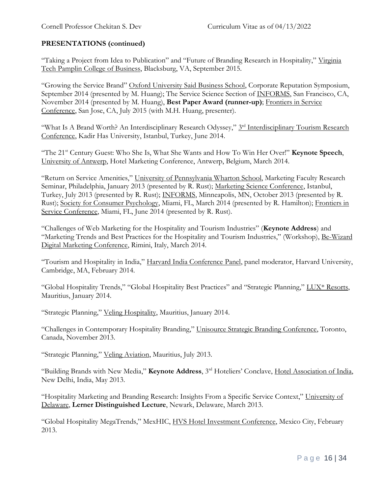"Taking a Project from Idea to Publication" and "Future of Branding Research in Hospitality," Virginia Tech Pamplin College of Business, Blacksburg, VA, September 2015.

"Growing the Service Brand" Oxford University Said Business School, Corporate Reputation Symposium, September 2014 (presented by M. Huang); The Service Science Section of INFORMS, San Francisco, CA, November 2014 (presented by M. Huang), **Best Paper Award (runner-up)**; Frontiers in Service Conference, San Jose, CA, July 2015 (with M.H. Huang, presenter).

"What Is A Brand Worth? An Interdisciplinary Research Odyssey," 3<sup>rd</sup> Interdisciplinary Tourism Research Conference, Kadir Has University, Istanbul, Turkey, June 2014.

"The 21st Century Guest: Who She Is, What She Wants and How To Win Her Over!" **Keynote Speech**, University of Antwerp, Hotel Marketing Conference, Antwerp, Belgium, March 2014.

"Return on Service Amenities," University of Pennsylvania Wharton School, Marketing Faculty Research Seminar, Philadelphia, January 2013 (presented by R. Rust); Marketing Science Conference, Istanbul, Turkey, July 2013 (presented by R. Rust); INFORMS, Minneapolis, MN, October 2013 (presented by R. Rust); Society for Consumer Psychology, Miami, FL, March 2014 (presented by R. Hamilton); Frontiers in Service Conference, Miami, FL, June 2014 (presented by R. Rust).

"Challenges of Web Marketing for the Hospitality and Tourism Industries" (**Keynote Address**) and "Marketing Trends and Best Practices for the Hospitality and Tourism Industries," (Workshop), Be-Wizard Digital Marketing Conference, Rimini, Italy, March 2014.

"Tourism and Hospitality in India," Harvard India Conference Panel, panel moderator, Harvard University, Cambridge, MA, February 2014.

"Global Hospitality Trends," "Global Hospitality Best Practices" and "Strategic Planning," LUX\* Resorts, Mauritius, January 2014.

"Strategic Planning," Veling Hospitality, Mauritius, January 2014.

"Challenges in Contemporary Hospitality Branding," Unisource Strategic Branding Conference, Toronto, Canada, November 2013.

"Strategic Planning," Veling Aviation, Mauritius, July 2013.

"Building Brands with New Media," **Keynote Address**, 3rd Hoteliers' Conclave, Hotel Association of India, New Delhi, India, May 2013.

"Hospitality Marketing and Branding Research: Insights From a Specific Service Context," University of Delaware, **Lerner Distinguished Lecture**, Newark, Delaware, March 2013.

"Global Hospitality MegaTrends," MexHIC, HVS Hotel Investment Conference, Mexico City, February 2013.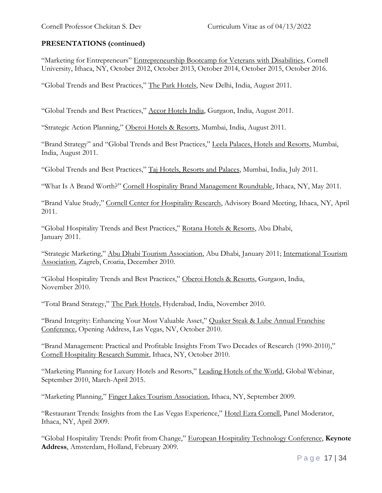"Marketing for Entrepreneurs" Entrepreneurship Bootcamp for Veterans with Disabilities, Cornell University, Ithaca, NY, October 2012, October 2013, October 2014, October 2015, October 2016.

"Global Trends and Best Practices," The Park Hotels, New Delhi, India, August 2011.

"Global Trends and Best Practices," Accor Hotels India, Gurgaon, India, August 2011.

"Strategic Action Planning," Oberoi Hotels & Resorts, Mumbai, India, August 2011.

"Brand Strategy" and "Global Trends and Best Practices," Leela Palaces, Hotels and Resorts, Mumbai, India, August 2011.

"Global Trends and Best Practices," Taj Hotels, Resorts and Palaces, Mumbai, India, July 2011.

"What Is A Brand Worth?" Cornell Hospitality Brand Management Roundtable, Ithaca, NY, May 2011.

"Brand Value Study," Cornell Center for Hospitality Research, Advisory Board Meeting, Ithaca, NY, April 2011.

"Global Hospitality Trends and Best Practices," Rotana Hotels & Resorts, Abu Dhabi, January 2011.

"Strategic Marketing," Abu Dhabi Tourism Association, Abu Dhabi, January 2011; International Tourism Association, Zagreb, Croatia, December 2010.

"Global Hospitality Trends and Best Practices," Oberoi Hotels & Resorts, Gurgaon, India, November 2010.

"Total Brand Strategy," The Park Hotels, Hyderabad, India, November 2010.

"Brand Integrity: Enhancing Your Most Valuable Asset," Quaker Steak & Lube Annual Franchise Conference, Opening Address, Las Vegas, NV, October 2010.

"Brand Management: Practical and Profitable Insights From Two Decades of Research (1990-2010)," Cornell Hospitality Research Summit, Ithaca, NY, October 2010.

"Marketing Planning for Luxury Hotels and Resorts," Leading Hotels of the World, Global Webinar, September 2010, March-April 2015.

"Marketing Planning," Finger Lakes Tourism Association, Ithaca, NY, September 2009.

"Restaurant Trends: Insights from the Las Vegas Experience," Hotel Ezra Cornell, Panel Moderator, Ithaca, NY, April 2009.

"Global Hospitality Trends: Profit from Change," European Hospitality Technology Conference, **Keynote Address**, Amsterdam, Holland, February 2009.

Page 17 | 34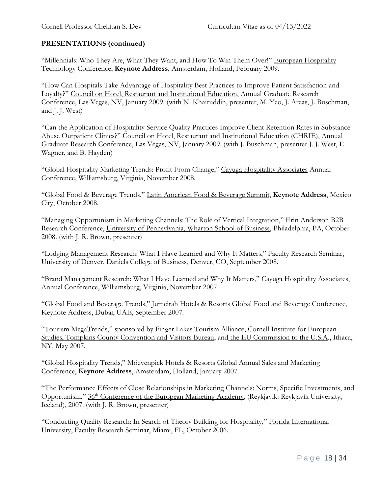"Millennials: Who They Are, What They Want, and How To Win Them Over!" European Hospitality Technology Conference, **Keynote Address**, Amsterdam, Holland, February 2009.

"How Can Hospitals Take Advantage of Hospitality Best Practices to Improve Patient Satisfaction and Loyalty?" Council on Hotel, Restaurant and Institutional Education, Annual Graduate Research Conference, Las Vegas, NV, January 2009. (with N. Khairuddin, presenter, M. Yeo, J. Areas, J. Buschman, and J. J. West)

"Can the Application of Hospitality Service Quality Practices Improve Client Retention Rates in Substance Abuse Outpatient Clinics?" Council on Hotel, Restaurant and Institutional Education (CHRIE), Annual Graduate Research Conference, Las Vegas, NV, January 2009. (with J. Buschman, presenter J. J. West, E. Wagner, and B. Hayden)

"Global Hospitality Marketing Trends: Profit From Change," Cayuga Hospitality Associates Annual Conference, Williamsburg, Virginia, November 2008.

"Global Food & Beverage Trends," Latin American Food & Beverage Summit, **Keynote Address**, Mexico City, October 2008.

"Managing Opportunism in Marketing Channels: The Role of Vertical Integration," Erin Anderson B2B Research Conference, University of Pennsylvania, Wharton School of Business, Philadelphia, PA, October 2008. (with J. R. Brown, presenter)

"Lodging Management Research: What I Have Learned and Why It Matters," Faculty Research Seminar, University of Denver, Daniels College of Business, Denver, CO, September 2008.

"Brand Management Research: What I Have Learned and Why It Matters," Cayuga Hospitality Associates, Annual Conference, Williamsburg, Virginia, November 2007

"Global Food and Beverage Trends," Jumeirah Hotels & Resorts Global Food and Beverage Conference, Keynote Address, Dubai, UAE, September 2007.

"Tourism MegaTrends," sponsored by Finger Lakes Tourism Alliance, Cornell Institute for European Studies, Tompkins County Convention and Visitors Bureau, and the EU Commission to the U.S.A., Ithaca, NY, May 2007.

"Global Hospitality Trends," Möevenpick Hotels & Resorts Global Annual Sales and Marketing Conference, **Keynote Address**, Amsterdam, Holland, January 2007.

"The Performance Effects of Close Relationships in Marketing Channels: Norms, Specific Investments, and Opportunism," 36th Conference of the European Marketing Academy, (Reykjavik: Reykjavik University, Iceland), 2007. (with J. R. Brown, presenter)

"Conducting Quality Research: In Search of Theory Building for Hospitality," Florida International University, Faculty Research Seminar, Miami, FL, October 2006.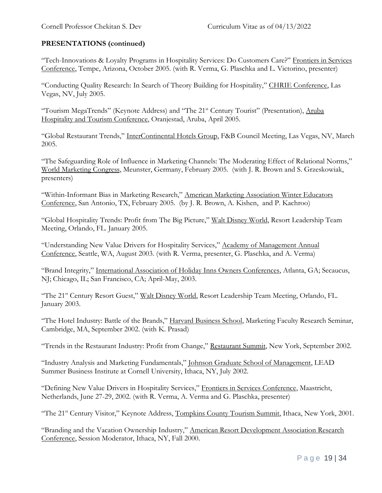"Tech-Innovations & Loyalty Programs in Hospitality Services: Do Customers Care?" Frontiers in Services Conference, Tempe, Arizona, October 2005. (with R. Verma, G. Plaschka and L. Victorino, presenter)

"Conducting Quality Research: In Search of Theory Building for Hospitality," CHRIE Conference, Las Vegas, NV, July 2005.

"Tourism MegaTrends" (Keynote Address) and "The 21<sup>st</sup> Century Tourist" (Presentation), Aruba Hospitality and Tourism Conference, Oranjestad, Aruba, April 2005.

"Global Restaurant Trends," InterContinental Hotels Group, F&B Council Meeting, Las Vegas, NV, March 2005.

"The Safeguarding Role of Influence in Marketing Channels: The Moderating Effect of Relational Norms," World Marketing Congress, Meunster, Germany, February 2005. (with J. R. Brown and S. Grzeskowiak, presenters)

"Within-Informant Bias in Marketing Research," American Marketing Association Winter Educators Conference, San Antonio, TX, February 2005. (by J. R. Brown, A. Kishen, and P. Kachroo)

"Global Hospitality Trends: Profit from The Big Picture," Walt Disney World, Resort Leadership Team Meeting, Orlando, FL. January 2005.

"Understanding New Value Drivers for Hospitality Services," Academy of Management Annual Conference, Seattle, WA, August 2003. (with R. Verma, presenter, G. Plaschka, and A. Verma)

"Brand Integrity," International Association of Holiday Inns Owners Conferences, Atlanta, GA; Secaucus, NJ; Chicago, IL; San Francisco, CA; April-May, 2003.

"The 21st Century Resort Guest," Walt Disney World, Resort Leadership Team Meeting, Orlando, FL. January 2003.

"The Hotel Industry: Battle of the Brands," Harvard Business School, Marketing Faculty Research Seminar, Cambridge, MA, September 2002. (with K. Prasad)

"Trends in the Restaurant Industry: Profit from Change," Restaurant Summit, New York, September 2002.

"Industry Analysis and Marketing Fundamentals," Johnson Graduate School of Management, LEAD Summer Business Institute at Cornell University, Ithaca, NY, July 2002.

"Defining New Value Drivers in Hospitality Services," Frontiers in Services Conference, Maastricht, Netherlands, June 27-29, 2002. (with R. Verma, A. Verma and G. Plaschka, presenter)

"The 21<sup>st</sup> Century Visitor," Keynote Address, Tompkins County Tourism Summit, Ithaca, New York, 2001.

"Branding and the Vacation Ownership Industry," American Resort Development Association Research Conference, Session Moderator, Ithaca, NY, Fall 2000.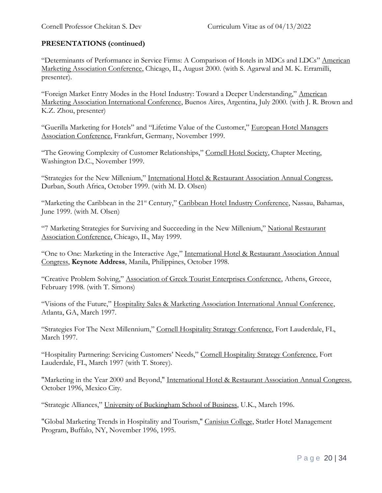"Determinants of Performance in Service Firms: A Comparison of Hotels in MDCs and LDCs" American Marketing Association Conference, Chicago, IL, August 2000. (with S. Agarwal and M. K. Erramilli, presenter).

"Foreign Market Entry Modes in the Hotel Industry: Toward a Deeper Understanding," American Marketing Association International Conference, Buenos Aires, Argentina, July 2000. (with J. R. Brown and K.Z. Zhou, presenter)

"Guerilla Marketing for Hotels" and "Lifetime Value of the Customer," European Hotel Managers Association Conference, Frankfurt, Germany, November 1999.

"The Growing Complexity of Customer Relationships," Cornell Hotel Society, Chapter Meeting, Washington D.C., November 1999.

"Strategies for the New Millenium," International Hotel & Restaurant Association Annual Congress, Durban, South Africa, October 1999. (with M. D. Olsen)

"Marketing the Caribbean in the 21<sup>st</sup> Century," Caribbean Hotel Industry Conference, Nassau, Bahamas, June 1999. (with M. Olsen)

"7 Marketing Strategies for Surviving and Succeeding in the New Millenium," National Restaurant Association Conference, Chicago, IL, May 1999.

"One to One: Marketing in the Interactive Age," International Hotel & Restaurant Association Annual Congress, **Keynote Address**, Manila, Philippines, October 1998.

"Creative Problem Solving," Association of Greek Tourist Enterprises Conference, Athens, Greece, February 1998. (with T. Simons)

"Visions of the Future," Hospitality Sales & Marketing Association International Annual Conference, Atlanta, GA, March 1997.

"Strategies For The Next Millennium," Cornell Hospitality Strategy Conference, Fort Lauderdale, FL, March 1997.

"Hospitality Partnering: Servicing Customers' Needs," Cornell Hospitality Strategy Conference, Fort Lauderdale, FL, March 1997 (with T. Storey).

"Marketing in the Year 2000 and Beyond," International Hotel & Restaurant Association Annual Congress, October 1996, Mexico City.

"Strategic Alliances," University of Buckingham School of Business, U.K., March 1996.

"Global Marketing Trends in Hospitality and Tourism," Canisius College, Statler Hotel Management Program, Buffalo, NY, November 1996, 1995.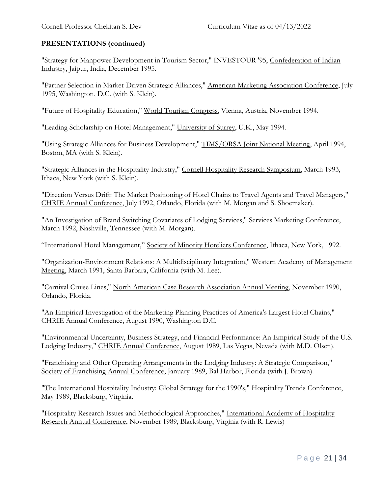"Strategy for Manpower Development in Tourism Sector," INVESTOUR '95, Confederation of Indian Industry, Jaipur, India, December 1995.

"Partner Selection in Market-Driven Strategic Alliances," American Marketing Association Conference, July 1995, Washington, D.C. (with S. Klein).

"Future of Hospitality Education," World Tourism Congress, Vienna, Austria, November 1994.

"Leading Scholarship on Hotel Management," University of Surrey, U.K., May 1994.

"Using Strategic Alliances for Business Development," TIMS/ORSA Joint National Meeting, April 1994, Boston, MA (with S. Klein).

"Strategic Alliances in the Hospitality Industry," Cornell Hospitality Research Symposium, March 1993, Ithaca, New York (with S. Klein).

"Direction Versus Drift: The Market Positioning of Hotel Chains to Travel Agents and Travel Managers," CHRIE Annual Conference, July 1992, Orlando, Florida (with M. Morgan and S. Shoemaker).

"An Investigation of Brand Switching Covariates of Lodging Services," Services Marketing Conference, March 1992, Nashville, Tennessee (with M. Morgan).

"International Hotel Management," Society of Minority Hoteliers Conference, Ithaca, New York, 1992.

"Organization-Environment Relations: A Multidisciplinary Integration," Western Academy of Management Meeting, March 1991, Santa Barbara, California (with M. Lee).

"Carnival Cruise Lines," North American Case Research Association Annual Meeting, November 1990, Orlando, Florida.

"An Empirical Investigation of the Marketing Planning Practices of America's Largest Hotel Chains," CHRIE Annual Conference, August 1990, Washington D.C.

"Environmental Uncertainty, Business Strategy, and Financial Performance: An Empirical Study of the U.S. Lodging Industry," CHRIE Annual Conference, August 1989, Las Vegas, Nevada (with M.D. Olsen).

"Franchising and Other Operating Arrangements in the Lodging Industry: A Strategic Comparison," Society of Franchising Annual Conference, January 1989, Bal Harbor, Florida (with J. Brown).

"The International Hospitality Industry: Global Strategy for the 1990's," Hospitality Trends Conference, May 1989, Blacksburg, Virginia.

"Hospitality Research Issues and Methodological Approaches," International Academy of Hospitality Research Annual Conference, November 1989, Blacksburg, Virginia (with R. Lewis)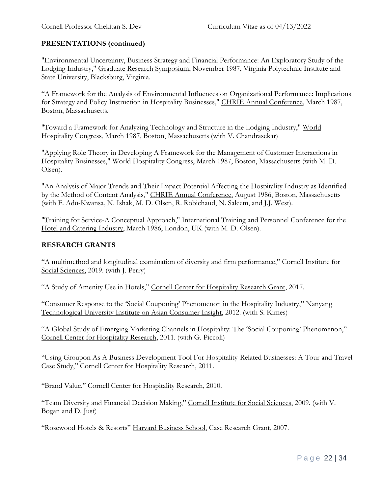"Environmental Uncertainty, Business Strategy and Financial Performance: An Exploratory Study of the Lodging Industry," Graduate Research Symposium, November 1987, Virginia Polytechnic Institute and State University, Blacksburg, Virginia.

"A Framework for the Analysis of Environmental Influences on Organizational Performance: Implications for Strategy and Policy Instruction in Hospitality Businesses," CHRIE Annual Conference, March 1987, Boston, Massachusetts.

"Toward a Framework for Analyzing Technology and Structure in the Lodging Industry," World Hospitality Congress, March 1987, Boston, Massachusetts (with V. Chandrasekar)

"Applying Role Theory in Developing A Framework for the Management of Customer Interactions in Hospitality Businesses," World Hospitality Congress, March 1987, Boston, Massachusetts (with M. D. Olsen).

"An Analysis of Major Trends and Their Impact Potential Affecting the Hospitality Industry as Identified by the Method of Content Analysis," CHRIE Annual Conference, August 1986, Boston, Massachusetts (with F. Adu-Kwansa, N. Ishak, M. D. Olsen, R. Robichaud, N. Saleem, and J.J. West).

"Training for Service-A Conceptual Approach," International Training and Personnel Conference for the Hotel and Catering Industry, March 1986, London, UK (with M. D. Olsen).

### **RESEARCH GRANTS**

"A multimethod and longitudinal examination of diversity and firm performance," Cornell Institute for Social Sciences, 2019. (with J. Perry)

"A Study of Amenity Use in Hotels," Cornell Center for Hospitality Research Grant, 2017.

"Consumer Response to the 'Social Couponing' Phenomenon in the Hospitality Industry," Nanyang Technological University Institute on Asian Consumer Insight, 2012. (with S. Kimes)

"A Global Study of Emerging Marketing Channels in Hospitality: The 'Social Couponing' Phenomenon," Cornell Center for Hospitality Research, 2011. (with G. Piccoli)

"Using Groupon As A Business Development Tool For Hospitality-Related Businesses: A Tour and Travel Case Study," Cornell Center for Hospitality Research, 2011.

"Brand Value," Cornell Center for Hospitality Research, 2010.

"Team Diversity and Financial Decision Making," Cornell Institute for Social Sciences, 2009. (with V. Bogan and D. Just)

"Rosewood Hotels & Resorts" Harvard Business School, Case Research Grant, 2007.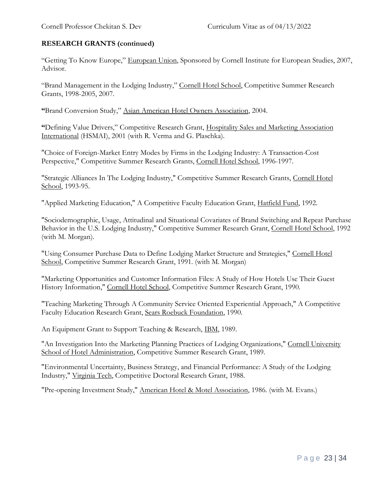## **RESEARCH GRANTS (continued)**

"Getting To Know Europe," European Union, Sponsored by Cornell Institute for European Studies, 2007, Advisor.

"Brand Management in the Lodging Industry," Cornell Hotel School, Competitive Summer Research Grants, 1998-2005, 2007.

**"**Brand Conversion Study," Asian American Hotel Owners Association, 2004.

**"**Defining Value Drivers," Competitive Research Grant, Hospitality Sales and Marketing Association International (HSMAI), 2001 (with R. Verma and G. Plaschka).

"Choice of Foreign-Market Entry Modes by Firms in the Lodging Industry: A Transaction-Cost Perspective," Competitive Summer Research Grants, Cornell Hotel School, 1996-1997.

"Strategic Alliances In The Lodging Industry," Competitive Summer Research Grants, Cornell Hotel School, 1993-95.

"Applied Marketing Education," A Competitive Faculty Education Grant, Hatfield Fund, 1992.

"Sociodemographic, Usage, Attitudinal and Situational Covariates of Brand Switching and Repeat Purchase Behavior in the U.S. Lodging Industry," Competitive Summer Research Grant, Cornell Hotel School, 1992 (with M. Morgan).

"Using Consumer Purchase Data to Define Lodging Market Structure and Strategies," Cornell Hotel School, Competitive Summer Research Grant, 1991. (with M. Morgan)

"Marketing Opportunities and Customer Information Files: A Study of How Hotels Use Their Guest History Information," Cornell Hotel School, Competitive Summer Research Grant, 1990.

"Teaching Marketing Through A Community Service Oriented Experiential Approach," A Competitive Faculty Education Research Grant, Sears Roebuck Foundation, 1990.

An Equipment Grant to Support Teaching & Research, IBM, 1989.

"An Investigation Into the Marketing Planning Practices of Lodging Organizations," Cornell University School of Hotel Administration, Competitive Summer Research Grant, 1989.

"Environmental Uncertainty, Business Strategy, and Financial Performance: A Study of the Lodging Industry," Virginia Tech, Competitive Doctoral Research Grant, 1988.

"Pre-opening Investment Study," American Hotel & Motel Association, 1986. (with M. Evans.)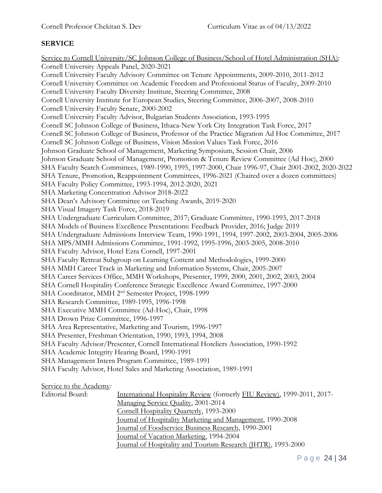### **SERVICE**

Service to Cornell University/SC Johnson College of Business/School of Hotel Administration (SHA): Cornell University Appeals Panel, 2020-2021 Cornell University Faculty Advisory Committee on Tenure Appointments, 2009-2010, 2011-2012 Cornell University Committee on Academic Freedom and Professional Status of Faculty, 2009-2010 Cornell University Faculty Diversity Institute, Steering Committee, 2008 Cornell University Institute for European Studies, Steering Committee, 2006-2007, 2008-2010 Cornell University Faculty Senate, 2000-2002 Cornell University Faculty Advisor, Bulgarian Students Association, 1993-1995 Cornell SC Johnson College of Business, Ithaca-New York City Integration Task Force, 2017 Cornell SC Johnson College of Business, Professor of the Practice Migration Ad Hoc Committee, 2017 Cornell SC Johnson College of Business, Vision Mission Values Task Force, 2016 Johnson Graduate School of Management, Marketing Symposium, Session Chair, 2006 Johnson Graduate School of Management, Promotion & Tenure Review Committee (Ad Hoc), 2000 SHA Faculty Search Committees, 1989-1990, 1995, 1997-2000, Chair 1996-97, Chair 2001-2002, 2020-2022 SHA Tenure, Promotion, Reappointment Committees, 1996-2021 (Chaired over a dozen committees) SHA Faculty Policy Committee, 1993-1994, 2012-2020, 2021 SHA Marketing Concentration Advisor 2018-2022 SHA Dean's Advisory Committee on Teaching Awards, 2019-2020 SHA Visual Imagery Task Force, 2018-2019 SHA Undergraduate Curriculum Committee, 2017; Graduate Committee, 1990-1993, 2017-2018 SHA Models of Business Excellence Presentations: Feedback Provider, 2016; Judge 2019 SHA Undergraduate Admissions Interview Team, 1990-1991, 1994, 1997-2002, 2003-2004, 2005-2006 SHA MPS/MMH Admissions Committee, 1991-1992, 1995-1996, 2003-2005, 2008-2010 SHA Faculty Advisor, Hotel Ezra Cornell, 1997-2001 SHA Faculty Retreat Subgroup on Learning Content and Methodologies, 1999-2000 SHA MMH Career Track in Marketing and Information Systems, Chair, 2005-2007 SHA Career Services Office, MMH Workshops, Presenter, 1999, 2000, 2001, 2002, 2003, 2004 SHA Cornell Hospitality Conference Strategic Excellence Award Committee, 1997-2000 SHA Coordinator, MMH 2<sup>nd</sup> Semester Project, 1998-1999 SHA Research Committee, 1989-1995, 1996-1998 SHA Executive MMH Committee (Ad-Hoc), Chair, 1998 SHA Drown Prize Committee, 1996-1997 SHA Area Representative, Marketing and Tourism, 1996-1997 SHA Presenter, Freshman Orientation, 1990, 1993, 1994, 2008 SHA Faculty Advisor/Presenter, Cornell International Hoteliers Association, 1990-1992 SHA Academic Integrity Hearing Board, 1990-1991 SHA Management Intern Program Committee, 1989-1991 SHA Faculty Advisor, Hotel Sales and Marketing Association, 1989-1991 Service to the Academy*:* International Hospitality Review (formerly FIU Review), 1999-2011, 2017-Managing Service Quality, 2001-2014 Cornell Hospitality Quarterly, 1993-2000 Journal of Hospitality Marketing and Management, 1990-2008

Journal of Foodservice Business Research, 1990-2001

Journal of Vacation Marketing, 1994-2004

Journal of Hospitality and Tourism Research (JHTR), 1993-2000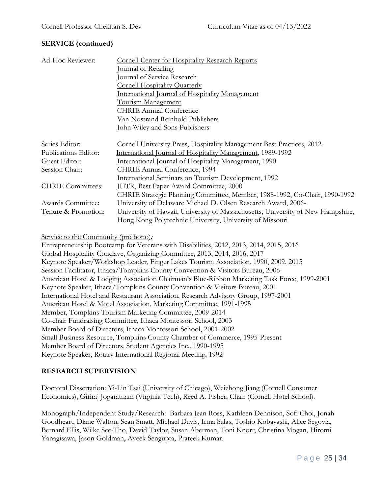## **SERVICE (continued)**

| Ad-Hoc Reviewer:         | <b>Cornell Center for Hospitality Research Reports</b>                          |
|--------------------------|---------------------------------------------------------------------------------|
|                          | <u>Journal of Retailing</u>                                                     |
|                          | <u><b>Journal of Service Research</b></u>                                       |
|                          | <b>Cornell Hospitality Quarterly</b>                                            |
|                          | International Journal of Hospitality Management                                 |
|                          | <u>Tourism Management</u>                                                       |
|                          | <b>CHRIE Annual Conference</b>                                                  |
|                          | Van Nostrand Reinhold Publishers                                                |
|                          | John Wiley and Sons Publishers                                                  |
| Series Editor:           | Cornell University Press, Hospitality Management Best Practices, 2012-          |
| Publications Editor:     | International Journal of Hospitality Management, 1989-1992                      |
| Guest Editor:            | International Journal of Hospitality Management, 1990                           |
| Session Chair:           | CHRIE Annual Conference, 1994                                                   |
|                          | International Seminars on Tourism Development, 1992                             |
| <b>CHRIE</b> Committees: | JHTR, Best Paper Award Committee, 2000                                          |
|                          | CHRIE Strategic Planning Committee, Member, 1988-1992, Co-Chair, 1990-1992      |
| Awards Committee:        | University of Delaware Michael D. Olsen Research Award, 2006-                   |
| Tenure & Promotion:      | University of Hawaii, University of Massachusetts, University of New Hampshire, |
|                          | Hong Kong Polytechnic University, University of Missouri                        |

#### Service to the Community (pro bono)*:*

Entrepreneurship Bootcamp for Veterans with Disabilities, 2012, 2013, 2014, 2015, 2016 Global Hospitality Conclave, Organizing Committee, 2013, 2014, 2016, 2017 Keynote Speaker/Workshop Leader, Finger Lakes Tourism Association, 1990, 2009, 2015 Session Facilitator, Ithaca/Tompkins County Convention & Visitors Bureau, 2006 American Hotel & Lodging Association Chairman's Blue-Ribbon Marketing Task Force, 1999-2001 Keynote Speaker, Ithaca/Tompkins County Convention & Visitors Bureau, 2001 International Hotel and Restaurant Association, Research Advisory Group, 1997-2001 American Hotel & Motel Association, Marketing Committee, 1991-1995 Member, Tompkins Tourism Marketing Committee, 2009-2014 Co-chair Fundraising Committee, Ithaca Montessori School, 2003 Member Board of Directors, Ithaca Montessori School, 2001-2002 Small Business Resource, Tompkins County Chamber of Commerce, 1995-Present Member Board of Directors, Student Agencies Inc., 1990-1995 Keynote Speaker, Rotary International Regional Meeting, 1992

## **RESEARCH SUPERVISION**

Doctoral Dissertation: Yi-Lin Tsai (University of Chicago), Weizhong Jiang (Cornell Consumer Economics), Giriraj Jogaratnam (Virginia Tech), Reed A. Fisher, Chair (Cornell Hotel School).

Monograph/Independent Study/Research: Barbara Jean Ross, Kathleen Dennison, Sofi Choi, Jonah Goodheart, Diane Walton, Sean Smatt, Michael Davis, Irma Salas, Toshio Kobayashi, Alice Segovia, Bernard Ellis, Wilke See-Tho, David Taylor, Susan Aberman, Toni Knorr, Christina Mogan, Hiromi Yanagisawa, Jason Goldman, Aveek Sengupta, Prateek Kumar.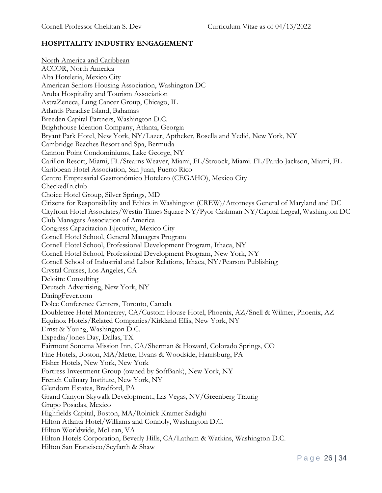### **HOSPITALITY INDUSTRY ENGAGEMENT**

North America and Caribbean ACCOR, North America Alta Hoteleria, Mexico City American Seniors Housing Association, Washington DC Aruba Hospitality and Tourism Association AstraZeneca, Lung Cancer Group, Chicago, IL Atlantis Paradise Island, Bahamas Breeden Capital Partners, Washington D.C. Brighthouse Ideation Company, Atlanta, Georgia Bryant Park Hotel, New York, NY/Lazer, Aptheker, Rosella and Yedid, New York, NY Cambridge Beaches Resort and Spa, Bermuda Cannon Point Condominiums, Lake George, NY Carillon Resort, Miami, FL/Stearns Weaver, Miami, FL/Stroock, Miami. FL/Pardo Jackson, Miami, FL Caribbean Hotel Association, San Juan, Puerto Rico Centro Empresarial Gastronómico Hotelero (CEGAHO), Mexico City CheckedIn.club Choice Hotel Group, Silver Springs, MD Citizens for Responsibility and Ethics in Washington (CREW)/Attorneys General of Maryland and DC Cityfront Hotel Associates/Westin Times Square NY/Pyor Cashman NY/Capital Legeal, Washington DC Club Managers Association of America Congress Capacitacion Ejecutiva, Mexico City Cornell Hotel School, General Managers Program Cornell Hotel School, Professional Development Program, Ithaca, NY Cornell Hotel School, Professional Development Program, New York, NY Cornell School of Industrial and Labor Relations, Ithaca, NY/Pearson Publishing Crystal Cruises, Los Angeles, CA Deloitte Consulting Deutsch Advertising, New York, NY DiningFever.com Dolce Conference Centers, Toronto, Canada Doubletree Hotel Monterrey, CA/Custom House Hotel, Phoenix, AZ/Snell & Wilmer, Phoenix, AZ Equinox Hotels/Related Companies/Kirkland Ellis, New York, NY Ernst & Young, Washington D.C. Expedia/Jones Day, Dallas, TX Fairmont Sonoma Mission Inn, CA/Sherman & Howard, Colorado Springs, CO Fine Hotels, Boston, MA/Mette, Evans & Woodside, Harrisburg, PA Fisher Hotels, New York, New York Fortress Investment Group (owned by SoftBank), New York, NY French Culinary Institute, New York, NY Glendorn Estates, Bradford, PA Grand Canyon Skywalk Development., Las Vegas, NV/Greenberg Traurig Grupo Posadas, Mexico Highfields Capital, Boston, MA/Rolnick Kramer Sadighi Hilton Atlanta Hotel/Williams and Connoly, Washington D.C. Hilton Worldwide, McLean, VA Hilton Hotels Corporation, Beverly Hills, CA/Latham & Watkins, Washington D.C. Hilton San Francisco/Seyfarth & Shaw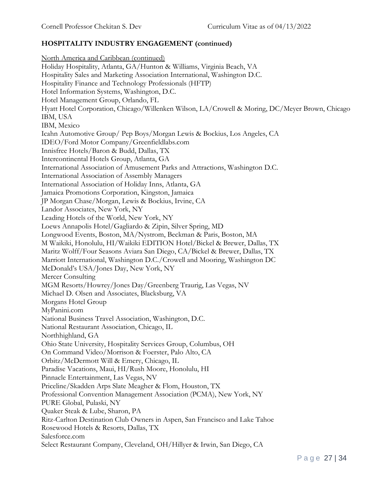North America and Caribbean (continued) Holiday Hospitality, Atlanta, GA/Hunton & Williams, Virginia Beach, VA Hospitality Sales and Marketing Association International, Washington D.C. Hospitality Finance and Technology Professionals (HFTP) Hotel Information Systems, Washington, D.C. Hotel Management Group, Orlando, FL Hyatt Hotel Corporation, Chicago/Willenken Wilson, LA/Crowell & Moring, DC/Meyer Brown, Chicago IBM, USA IBM, Mexico Icahn Automotive Group/ Pep Boys/Morgan Lewis & Bockius, Los Angeles, CA IDEO/Ford Motor Company/Greenfieldlabs.com Innisfree Hotels/Baron & Budd, Dallas, TX Intercontinental Hotels Group, Atlanta, GA International Association of Amusement Parks and Attractions, Washington D.C. International Association of Assembly Managers International Association of Holiday Inns, Atlanta, GA Jamaica Promotions Corporation, Kingston, Jamaica JP Morgan Chase/Morgan, Lewis & Bockius, Irvine, CA Landor Associates, New York, NY Leading Hotels of the World, New York, NY Loews Annapolis Hotel/Gagliardo & Zipin, Silver Spring, MD Longwood Events, Boston, MA/Nystrom, Beckman & Paris, Boston, MA M Waikiki, Honolulu, HI/Waikiki EDITION Hotel/Bickel & Brewer, Dallas, TX Maritz Wolff/Four Seasons Aviara San Diego, CA/Bickel & Brewer, Dallas, TX Marriott International, Washington D.C./Crowell and Mooring, Washington DC McDonald's USA/Jones Day, New York, NY Mercer Consulting MGM Resorts/Howrey/Jones Day/Greenberg Traurig, Las Vegas, NV Michael D. Olsen and Associates, Blacksburg, VA Morgans Hotel Group MyPanini.com National Business Travel Association, Washington, D.C. National Restaurant Association, Chicago, IL Northhighland, GA Ohio State University, Hospitality Services Group, Columbus, OH On Command Video/Morrison & Foerster, Palo Alto, CA Orbitz/McDermott Will & Emery, Chicago, IL Paradise Vacations, Maui, HI/Rush Moore, Honolulu, HI Pinnacle Entertainment, Las Vegas, NV Priceline/Skadden Arps Slate Meagher & Flom, Houston, TX Professional Convention Management Association (PCMA), New York, NY PURE Global, Pulaski, NY Quaker Steak & Lube, Sharon, PA Ritz-Carlton Destination Club Owners in Aspen, San Francisco and Lake Tahoe Rosewood Hotels & Resorts, Dallas, TX Salesforce.com Select Restaurant Company, Cleveland, OH/Hillyer & Irwin, San Diego, CA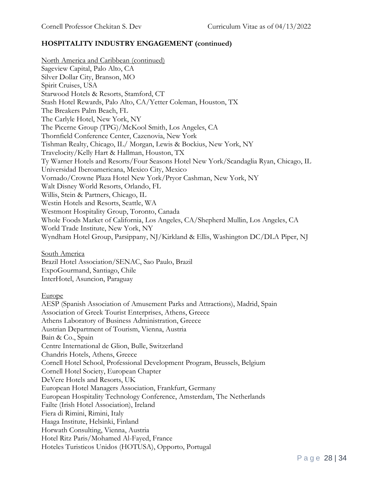North America and Caribbean (continued) Sageview Capital, Palo Alto, CA Silver Dollar City, Branson, MO Spirit Cruises, USA Starwood Hotels & Resorts, Stamford, CT Stash Hotel Rewards, Palo Alto, CA/Yetter Coleman, Houston, TX The Breakers Palm Beach, FL The Carlyle Hotel, New York, NY The Picerne Group (TPG)/McKool Smith, Los Angeles, CA Thornfield Conference Center, Cazenovia, New York Tishman Realty, Chicago, IL/ Morgan, Lewis & Bockius, New York, NY Travelocity/Kelly Hart & Hallman, Houston, TX Ty Warner Hotels and Resorts/Four Seasons Hotel New York/Scandaglia Ryan, Chicago, IL Universidad Iberoamericana, Mexico City, Mexico Vornado/Crowne Plaza Hotel New York/Pryor Cashman, New York, NY Walt Disney World Resorts, Orlando, FL Willis, Stein & Partners, Chicago, IL Westin Hotels and Resorts, Seattle, WA Westmont Hospitality Group, Toronto, Canada Whole Foods Market of California, Los Angeles, CA/Shepherd Mullin, Los Angeles, CA World Trade Institute, New York, NY Wyndham Hotel Group, Parsippany, NJ/Kirkland & Ellis, Washington DC/DLA Piper, NJ

South America

Brazil Hotel Association/SENAC, Sao Paulo, Brazil ExpoGourmand, Santiago, Chile InterHotel, Asuncion, Paraguay

Europe

AESP (Spanish Association of Amusement Parks and Attractions), Madrid, Spain Association of Greek Tourist Enterprises, Athens, Greece Athens Laboratory of Business Administration, Greece Austrian Department of Tourism, Vienna, Austria Bain & Co., Spain Centre International de Glion, Bulle, Switzerland Chandris Hotels, Athens, Greece Cornell Hotel School, Professional Development Program, Brussels, Belgium Cornell Hotel Society, European Chapter DeVere Hotels and Resorts, UK European Hotel Managers Association, Frankfurt, Germany European Hospitality Technology Conference, Amsterdam, The Netherlands Failte (Irish Hotel Association), Ireland Fiera di Rimini, Rimini, Italy Haaga Institute, Helsinki, Finland Horwath Consulting, Vienna, Austria Hotel Ritz Paris/Mohamed Al-Fayed, France Hoteles Turisticos Unidos (HOTUSA), Opporto, Portugal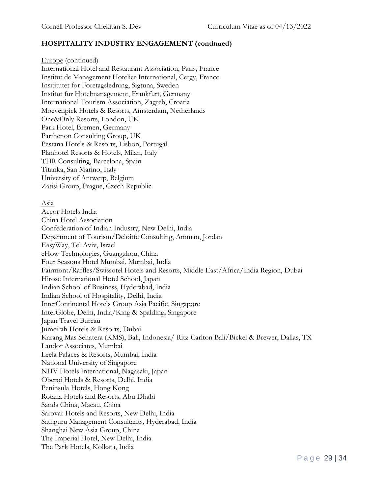Europe (continued) International Hotel and Restaurant Association, Paris, France Institut de Management Hotelier International, Cergy, France Insititutet for Foretagsledning, Sigtuna, Sweden Institut fur Hotelmanagement, Frankfurt, Germany International Tourism Association, Zagreb, Croatia Moevenpick Hotels & Resorts, Amsterdam, Netherlands One&Only Resorts, London, UK Park Hotel, Bremen, Germany Parthenon Consulting Group, UK Pestana Hotels & Resorts, Lisbon, Portugal Planhotel Resorts & Hotels, Milan, Italy THR Consulting, Barcelona, Spain Titanka, San Marino, Italy University of Antwerp, Belgium Zatisi Group, Prague, Czech Republic

#### Asia

Accor Hotels India China Hotel Association Confederation of Indian Industry, New Delhi, India Department of Tourism/Deloitte Consulting, Amman, Jordan EasyWay, Tel Aviv, Israel eHow Technologies, Guangzhou, China Four Seasons Hotel Mumbai, Mumbai, India Fairmont/Raffles/Swissotel Hotels and Resorts, Middle East/Africa/India Region, Dubai Hirose International Hotel School, Japan Indian School of Business, Hyderabad, India Indian School of Hospitality, Delhi, India InterContinental Hotels Group Asia Pacific, Singapore InterGlobe, Delhi, India/King & Spalding, Singapore Japan Travel Bureau Jumeirah Hotels & Resorts, Dubai Karang Mas Sehatera (KMS), Bali, Indonesia/ Ritz-Carlton Bali/Bickel & Brewer, Dallas, TX Landor Associates, Mumbai Leela Palaces & Resorts, Mumbai, India National University of Singapore NHV Hotels International, Nagasaki, Japan Oberoi Hotels & Resorts, Delhi, India Peninsula Hotels, Hong Kong Rotana Hotels and Resorts, Abu Dhabi Sands China, Macau, China Sarovar Hotels and Resorts, New Delhi, India Sathguru Management Consultants, Hyderabad, India Shanghai New Asia Group, China The Imperial Hotel, New Delhi, India The Park Hotels, Kolkata, India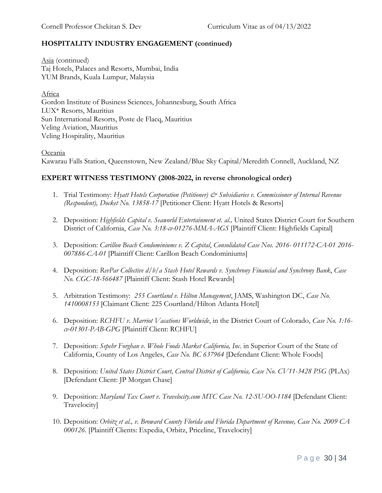Asia (continued) Taj Hotels, Palaces and Resorts, Mumbai, India YUM Brands, Kuala Lumpur, Malaysia

Africa Gordon Institute of Business Sciences, Johannesburg, South Africa LUX\* Resorts, Mauritius Sun International Resorts, Poste de Flacq, Mauritius Veling Aviation, Mauritius Veling Hospitality, Mauritius

#### Oceania

Kawarau Falls Station, Queenstown, New Zealand/Blue Sky Capital/Meredith Connell, Auckland, NZ

#### **EXPERT WITNESS TESTIMONY (2008-2022, in reverse chronological order)**

- 1. Trial Testimony: *Hyatt Hotels Corporation (Petitioner) & Subsidiaries v. Commissioner of Internal Revenue (Respondent), Docket No. 13858-17* [Petitioner Client: Hyatt Hotels & Resorts]
- 2. Deposition: *Highfields Capital v. Seaworld Entertainment et. al.,* United States District Court for Southern District of California, *Case No. 3:18-cv-01276-MMA-AGS* [Plaintiff Client: Highfields Capital]
- 3. Deposition: *Carillon Beach Condominiums v. Z Capital*, *Consolidated Case Nos. 2016- 011172-CA-01 2016- 007886-CA-01* [Plaintiff Client: Carillon Beach Condominiums]
- 4. Deposition: *RevPar Collective d/b/a Stash Hotel Rewards v. Synchrony Financial and Synchrony Bank*, *Case No. CGC-18-566487* [Plaintiff Client: Stash Hotel Rewards]
- 5. Arbitration Testimony: *255 Courtland v. Hilton Management*, JAMS, Washington DC, *Case No. 1410008153* [Claimant Client: 225 Courtland/Hilton Atlanta Hotel]
- 6. Deposition: *RCHFU v. Marriot Vacations Worldwide*, in the District Court of Colorado, *Case No. 1:16 cv-01301-PAB-GPG* [Plaintiff Client: RCHFU]
- 7. Deposition: *Sepehr Forghan v. Whole Foods Market California, Inc*. in Superior Court of the State of California, County of Los Angeles, *Case No. BC 637964* [Defendant Client: Whole Foods]
- 8. Deposition: *United States District Court, Central District of California, Case No. CV11-3428 PSG* (PLAx) [Defendant Client: JP Morgan Chase]
- 9. Deposition: *Maryland Tax Court v. Travelocity.com MTC Case No. 12-SU-OO-1184* [Defendant Client: Travelocity]
- 10. Deposition: *Orbitz et al., v. Broward County Florida and Florida Department of Revenue, Case No. 2009 CA 000126.* [Plaintiff Clients: Expedia, Orbitz, Priceline, Travelocity]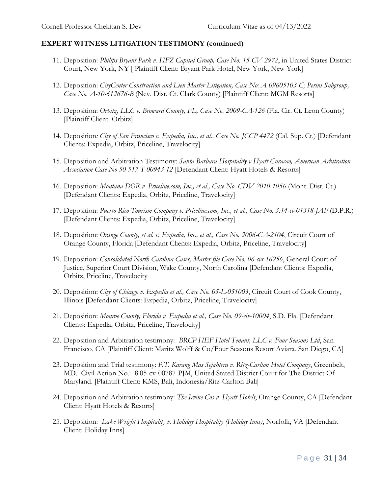### **EXPERT WITNESS LITIGATION TESTIMONY (continued)**

- 11. Deposition: *Philips Bryant Park v. HFZ Capital Group, Case No. 15-CV-2972*, in United States District Court, New York, NY [ Plaintiff Client: Bryant Park Hotel, New York, New York]
- 12. Deposition: *CityCenter Construction and Lien Master Litigation, Case No: A-09605103-C; Perini Subgroup, Case No. A-10-612676-B* (Nev. Dist. Ct. Clark County) [Plaintiff Client: MGM Resorts]
- 13. Deposition: *Orbitz, LLC v. Broward County, FL, Case No. 2009-CA-126* (Fla. Cir. Ct. Leon County) [Plaintiff Client: Orbitz]
- 14. Deposition*: City of San Francisco v. Expedia, Inc., et al., Case No. JCCP 4472* (Cal. Sup. Ct.) [Defendant Clients: Expedia, Orbitz, Priceline, Travelocity]
- 15. Deposition and Arbitration Testimony: *Santa Barbara Hospitality v Hyatt Curacao, American Arbitration Association Case No 50 517 T 00943 12* [Defendant Client: Hyatt Hotels & Resorts]
- 16. Deposition: *Montana DOR v. Priceline.com, Inc., et al., Case No. CDV-2010-1056* (Mont. Dist. Ct.) [Defendant Clients: Expedia, Orbitz, Priceline, Travelocity]
- 17. Deposition: *Puerto Rico Tourism Company v. Priceline.com, Inc., et al., Case No. 3:14-cv-01318-JAF* (D.P.R.) [Defendant Clients: Expedia, Orbitz, Priceline, Travelocity]
- 18. Deposition: *Orange County, et al. v. Expedia, Inc., et al., Case No. 2006-CA-2104*, Circuit Court of Orange County, Florida [Defendant Clients: Expedia, Orbitz, Priceline, Travelocity]
- 19. Deposition: *Consolidated North Carolina Cases, Master file Case No. 06-cvs-16256*, General Court of Justice, Superior Court Division, Wake County, North Carolina [Defendant Clients: Expedia, Orbitz, Priceline, Travelocity
- 20. Deposition: *City of Chicago v. Expedia et al., Case No. 05-L-051003*, Circuit Court of Cook County, Illinois [Defendant Clients: Expedia, Orbitz, Priceline, Travelocity]
- 21. Deposition: *Monroe County, Florida v. Expedia et al., Case No. 09-civ-10004*, S.D. Fla. [Defendant Clients: Expedia, Orbitz, Priceline, Travelocity]
- 22. Deposition and Arbitration testimony: *BRCP HEF Hotel Tenant, LLC v. Four Seasons Ltd*, San Francisco, CA [Plaintiff Client: Maritz Wolff & Co/Four Seasons Resort Aviara, San Diego, CA]
- 23. Deposition and Trial testimony: *P.T. Karang Mas Sejahtera v. Ritz-Carlton Hotel Company*, Greenbelt, MD. Civil Action No.: 8:05-cv-00787-PJM, United Stated District Court for The District Of Maryland. [Plaintiff Client: KMS, Bali, Indonesia/Ritz-Carlton Bali]
- 24. Deposition and Arbitration testimony: *The Irvine Cos v. Hyatt Hotels*, Orange County, CA [Defendant Client: Hyatt Hotels & Resorts]
- 25. Deposition: *Lake Wright Hospitality v. Holiday Hospitality (Holiday Inns)*, Norfolk, VA [Defendant Client: Holiday Inns]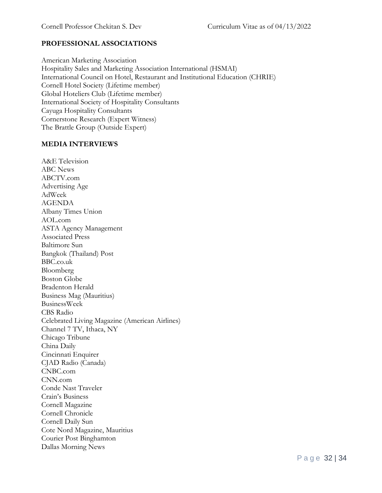### **PROFESSIONAL ASSOCIATIONS**

American Marketing Association Hospitality Sales and Marketing Association International (HSMAI) International Council on Hotel, Restaurant and Institutional Education (CHRIE) Cornell Hotel Society (Lifetime member) Global Hoteliers Club (Lifetime member) International Society of Hospitality Consultants Cayuga Hospitality Consultants Cornerstone Research (Expert Witness) The Brattle Group (Outside Expert)

#### **MEDIA INTERVIEWS**

A&E Television ABC News ABCTV.com Advertising Age AdWeek AGENDA Albany Times Union AOL.com ASTA Agency Management Associated Press Baltimore Sun Bangkok (Thailand) Post BBC.co.uk Bloomberg Boston Globe Bradenton Herald Business Mag (Mauritius) BusinessWeek CBS Radio Celebrated Living Magazine (American Airlines) Channel 7 TV, Ithaca, NY Chicago Tribune China Daily Cincinnati Enquirer CJAD Radio (Canada) CNBC.com CNN.com Conde Nast Traveler Crain's Business Cornell Magazine Cornell Chronicle Cornell Daily Sun Cote Nord Magazine, Mauritius Courier Post Binghamton Dallas Morning News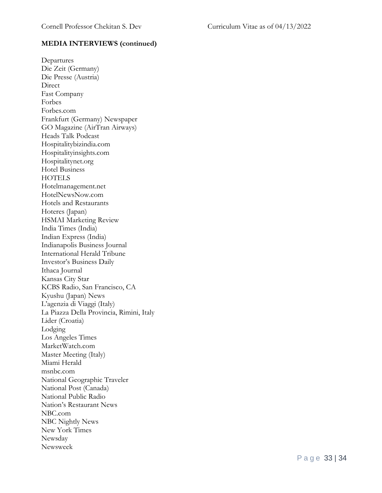### **MEDIA INTERVIEWS (continued)**

Departures Die Zeit (Germany) Die Presse (Austria) Direct Fast Company Forbes Forbes.com Frankfurt (Germany) Newspaper GO Magazine (AirTran Airways) Heads Talk Podcast Hospitalitybizindia.com Hospitalityinsights.com Hospitalitynet.org Hotel Business **HOTELS** Hotelmanagement.net HotelNewsNow.com Hotels and Restaurants Hoteres (Japan) HSMAI Marketing Review India Times (India) Indian Express (India) Indianapolis Business Journal International Herald Tribune Investor's Business Daily Ithaca Journal Kansas City Star KCBS Radio, San Francisco, CA Kyushu (Japan) News L'agenzia di Viaggi (Italy) La Piazza Della Provincia, Rimini, Italy Lider (Croatia) Lodging Los Angeles Times MarketWatch.com Master Meeting (Italy) Miami Herald msnbc.com National Geographic Traveler National Post (Canada) National Public Radio Nation's Restaurant News NBC.com NBC Nightly News New York Times Newsday Newsweek